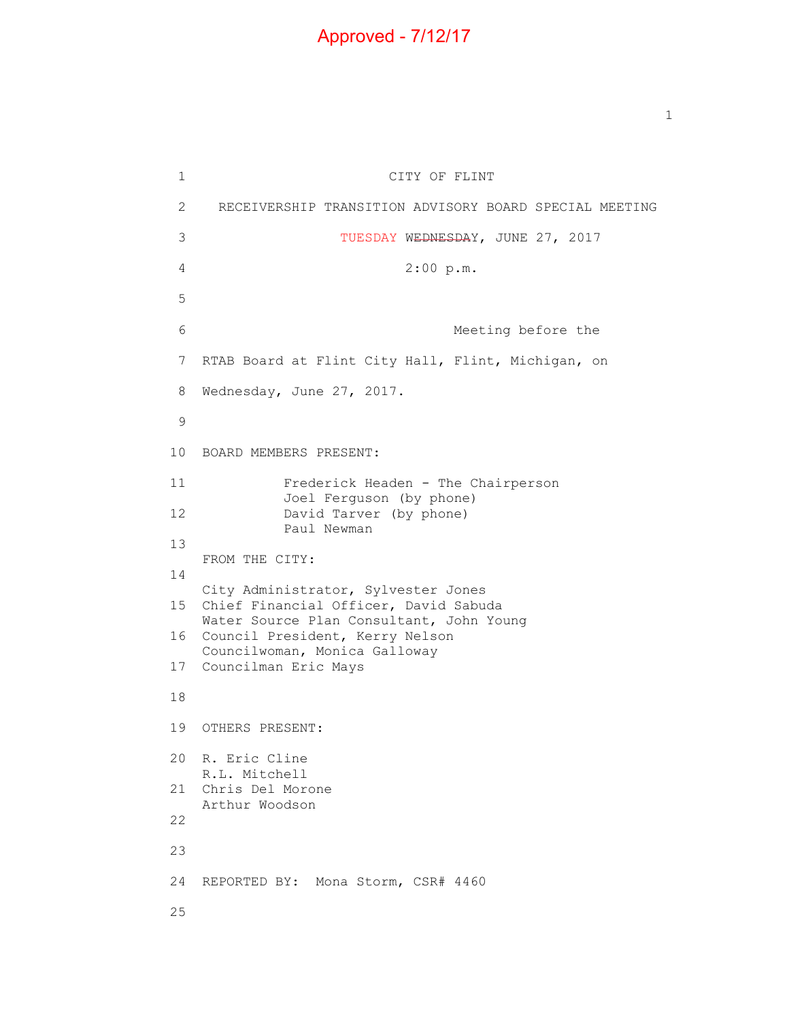## Approved - 7/12/17

 $\mathbf 1$  $\overline{c}$ 3 6 7 RTAB Board at Flint City Hall, Flint, Michigan, on 8 CITY OF FLINT 2 RECEIVERSHIP TRANSITION ADVISORY BOARD SPECIAL MEETING 3 TUESDAY WEDNESDAY, JUNE 27, 2017 4 2:00 p.m. 5 Meeting before the Wednesday, June 27, 2017. 9 10 BOARD MEMBERS PRESENT: 11 Frederick Headen - The Chairperson Joel Ferguson (by phone) 12 David Tarver (by phone) Paul Newman 13 FROM THE CITY: 14 City Administrator, Sylvester Jones 15 Chief Financial Officer, David Sabuda Water Source Plan Consultant, John Young 16 Council President, Kerry Nelson Councilwoman, Monica Galloway 17 Councilman Eric Mays 18 19 OTHERS PRESENT: 20 R. Eric Cline R.L. Mitchell 21 Chris Del Morone Arthur Woodson 22 23 24 REPORTED BY: Mona Storm, CSR# 4460 25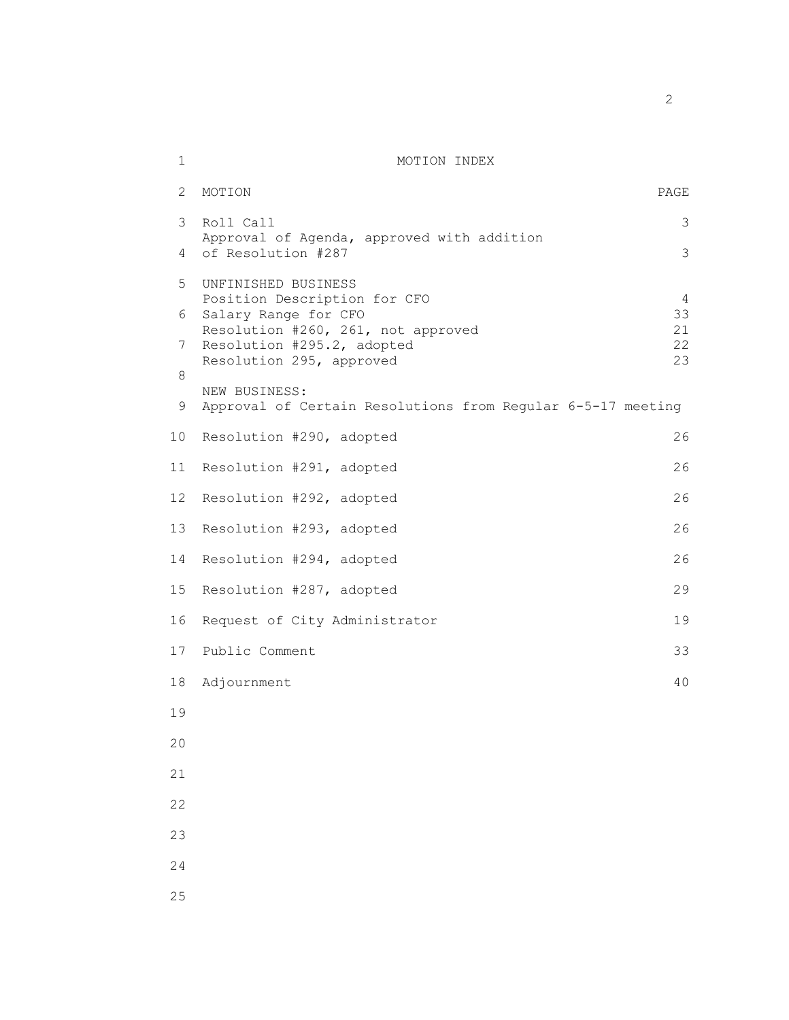## 1 MOTION INDEX

| $\mathbf{2}^{\prime}$ | MOTION                                                           | PAGE     |
|-----------------------|------------------------------------------------------------------|----------|
| 3                     | Roll Call                                                        | 3        |
| 4                     | Approval of Agenda, approved with addition<br>of Resolution #287 | 3        |
| 5                     | UNFINISHED BUSINESS                                              |          |
| 6                     | Position Description for CFO<br>Salary Range for CFO             | 4<br>33  |
| 7                     | Resolution #260, 261, not approved<br>Resolution #295.2, adopted | 21<br>22 |
| 8                     | Resolution 295, approved                                         | 23       |
|                       | NEW BUSINESS:                                                    |          |
| 9                     | Approval of Certain Resolutions from Regular 6-5-17 meeting      |          |
| 10 <sub>o</sub>       | Resolution #290, adopted                                         | 26       |
| 11                    | Resolution #291, adopted                                         | 26       |
| 12 <sup>°</sup>       | Resolution #292, adopted                                         | 26       |
| 13                    | Resolution #293, adopted                                         | 26       |
| 14                    | Resolution #294, adopted                                         | 26       |
| 15                    | Resolution #287, adopted                                         | 29       |
| 16                    | Request of City Administrator                                    | 19       |
| 17                    | Public Comment                                                   | 33       |
| 18                    | Adjournment                                                      | 40       |
| 19                    |                                                                  |          |
| 20                    |                                                                  |          |
| 21                    |                                                                  |          |
| 22                    |                                                                  |          |
| 23                    |                                                                  |          |
| 24                    |                                                                  |          |
| 25                    |                                                                  |          |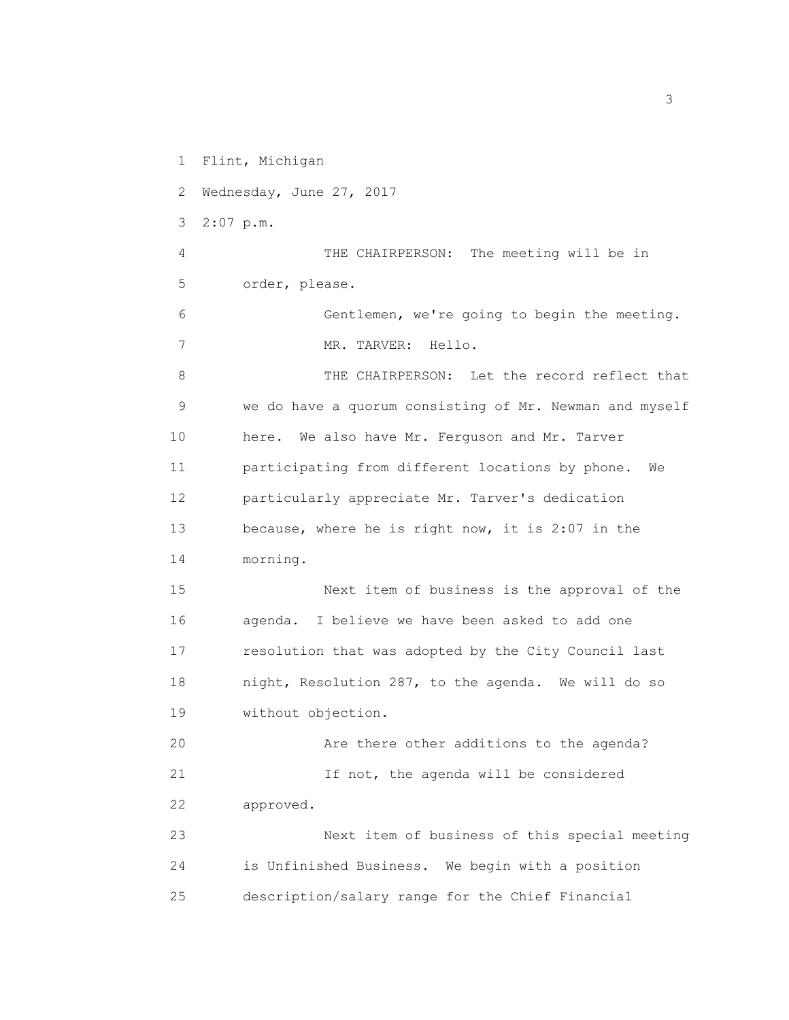1 Flint, Michigan

2 Wednesday, June 27, 2017

3 2:07 p.m.

4 THE CHAIRPERSON: The meeting will be in 5 order, please.

6 Gentlemen, we're going to begin the meeting. 7 MR. TARVER: Hello.

8 THE CHAIRPERSON: Let the record reflect that 9 we do have a quorum consisting of Mr. Newman and myself 10 here. We also have Mr. Ferguson and Mr. Tarver 11 participating from different locations by phone. We 12 particularly appreciate Mr. Tarver's dedication 13 because, where he is right now, it is 2:07 in the 14 morning.

15 Next item of business is the approval of the 16 agenda. I believe we have been asked to add one 17 resolution that was adopted by the City Council last 18 night, Resolution 287, to the agenda. We will do so 19 without objection.

20 Are there other additions to the agenda? 21 15 not, the agenda will be considered 22 approved.

23 Next item of business of this special meeting 24 is Unfinished Business. We begin with a position 25 description/salary range for the Chief Financial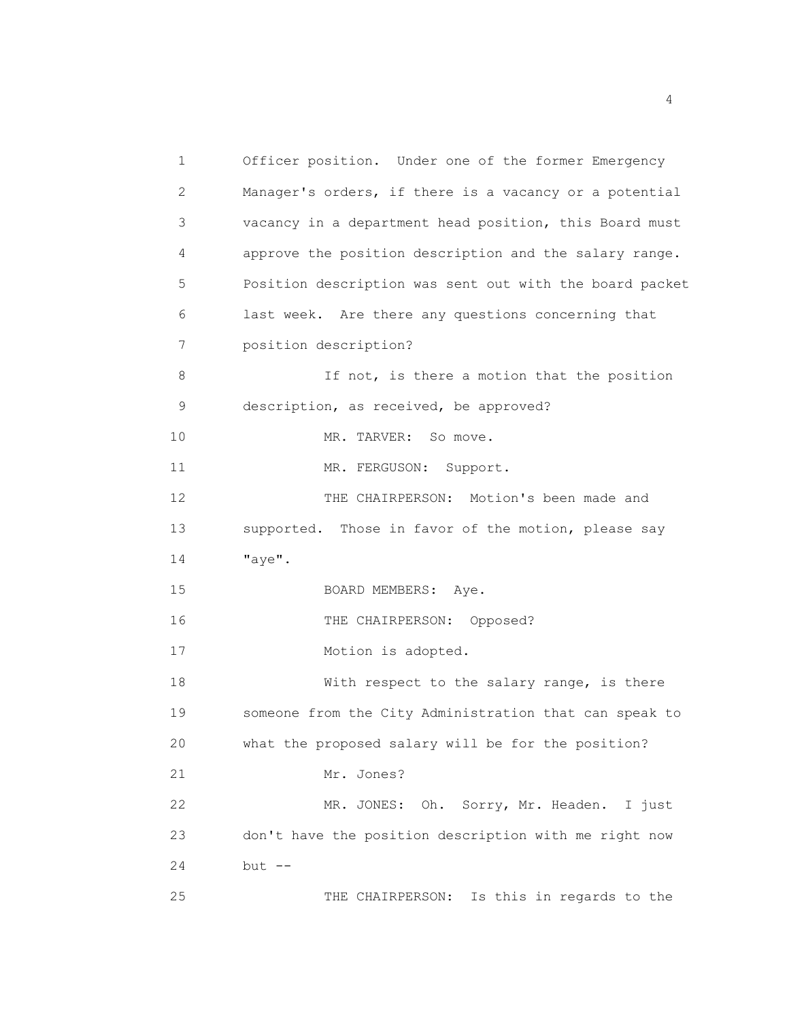1 Officer position. Under one of the former Emergency 2 Manager's orders, if there is a vacancy or a potential 3 vacancy in a department head position, this Board must 4 approve the position description and the salary range. 5 Position description was sent out with the board packet 6 last week. Are there any questions concerning that 7 position description? 8 If not, is there a motion that the position 9 description, as received, be approved? 10 MR. TARVER: So move. 11 MR. FERGUSON: Support. 12 THE CHAIRPERSON: Motion's been made and 13 supported. Those in favor of the motion, please say 14 "aye". 15 BOARD MEMBERS: Aye. 16 THE CHAIRPERSON: Opposed? 17 Motion is adopted. 18 With respect to the salary range, is there 19 someone from the City Administration that can speak to 20 what the proposed salary will be for the position? 21 Mr. Jones? 22 MR. JONES: Oh. Sorry, Mr. Headen. I just 23 don't have the position description with me right now 24 but -- 25 THE CHAIRPERSON: Is this in regards to the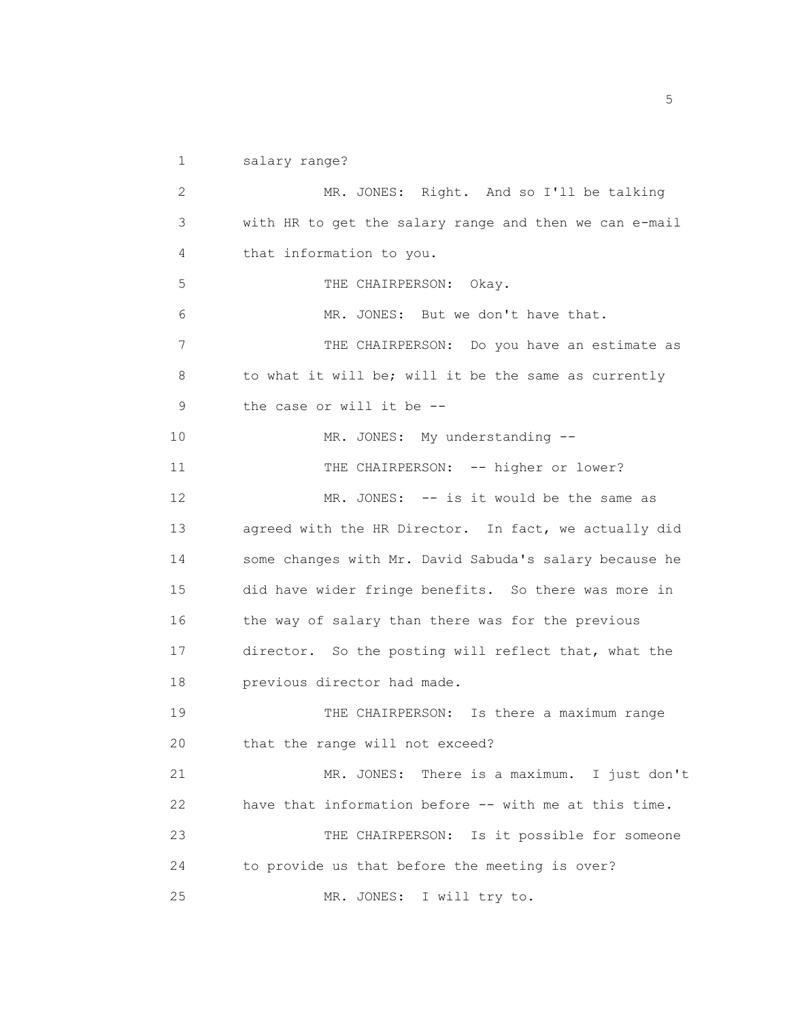1 salary range?

2 MR. JONES: Right. And so I'll be talking 3 with HR to get the salary range and then we can e-mail 4 that information to you. 5 THE CHAIRPERSON: Okay. 6 MR. JONES: But we don't have that. 7 THE CHAIRPERSON: Do you have an estimate as 8 to what it will be; will it be the same as currently 9 the case or will it be -- 10 MR. JONES: My understanding --11 THE CHAIRPERSON: -- higher or lower? 12 MR. JONES: -- is it would be the same as 13 agreed with the HR Director. In fact, we actually did 14 some changes with Mr. David Sabuda's salary because he 15 did have wider fringe benefits. So there was more in 16 the way of salary than there was for the previous 17 director. So the posting will reflect that, what the 18 previous director had made. 19 THE CHAIRPERSON: Is there a maximum range 20 that the range will not exceed? 21 MR. JONES: There is a maximum. I just don't 22 have that information before -- with me at this time. 23 THE CHAIRPERSON: Is it possible for someone 24 to provide us that before the meeting is over? 25 MR. JONES: I will try to.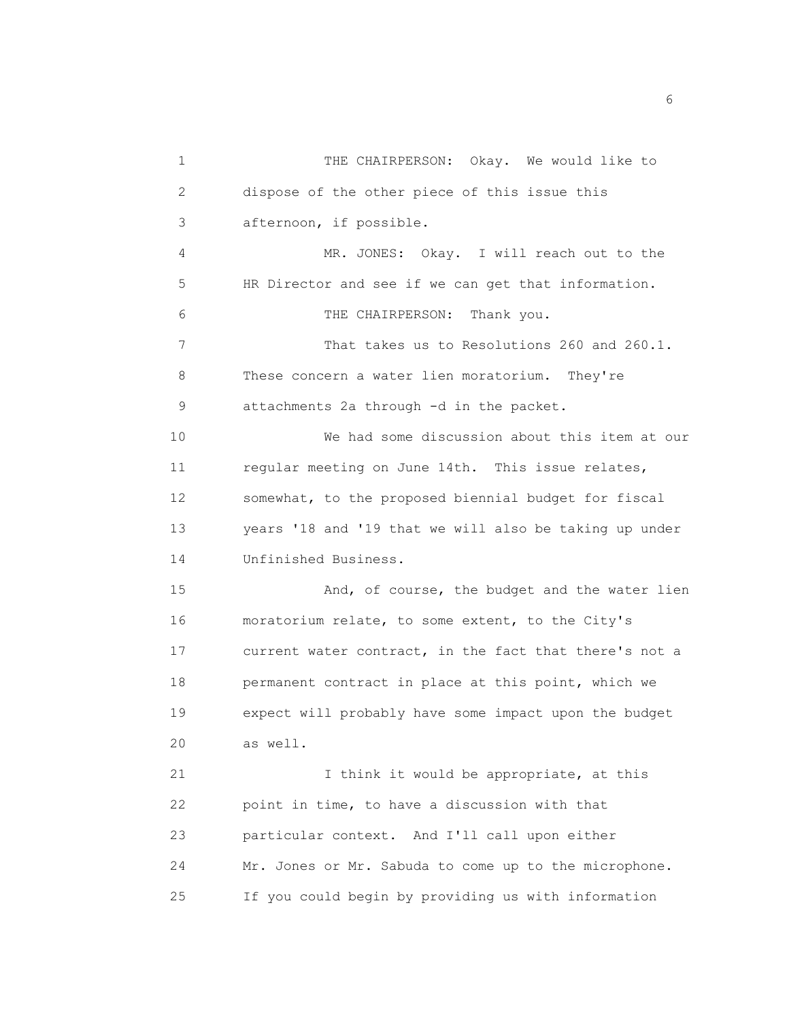1 THE CHAIRPERSON: Okay. We would like to 2 dispose of the other piece of this issue this 3 afternoon, if possible. 4 MR. JONES: Okay. I will reach out to the 5 HR Director and see if we can get that information. 6 THE CHAIRPERSON: Thank you. 7 That takes us to Resolutions 260 and 260.1. 8 These concern a water lien moratorium. They're 9 attachments 2a through -d in the packet. 10 We had some discussion about this item at our 11 regular meeting on June 14th. This issue relates, 12 somewhat, to the proposed biennial budget for fiscal 13 years '18 and '19 that we will also be taking up under 14 Unfinished Business. 15 And, of course, the budget and the water lien 16 moratorium relate, to some extent, to the City's 17 current water contract, in the fact that there's not a 18 permanent contract in place at this point, which we 19 expect will probably have some impact upon the budget 20 as well. 21 I think it would be appropriate, at this 22 point in time, to have a discussion with that 23 particular context. And I'll call upon either 24 Mr. Jones or Mr. Sabuda to come up to the microphone. 25 If you could begin by providing us with information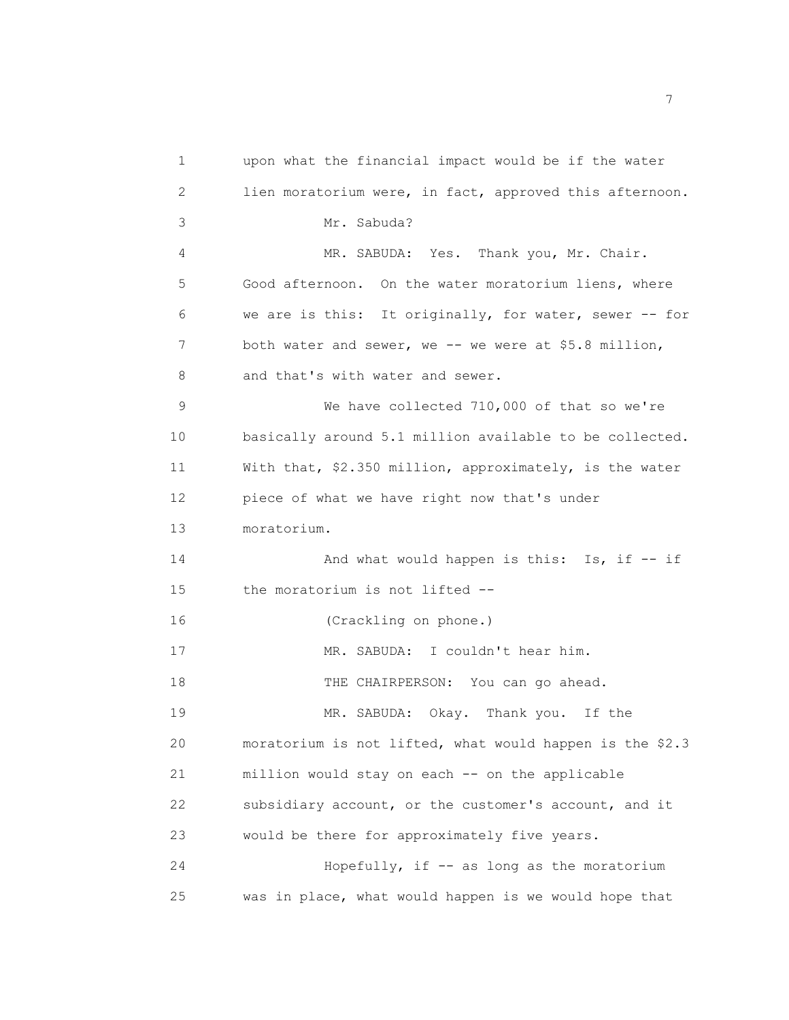1 upon what the financial impact would be if the water 2 lien moratorium were, in fact, approved this afternoon. 3 Mr. Sabuda? 4 MR. SABUDA: Yes. Thank you, Mr. Chair. 5 Good afternoon. On the water moratorium liens, where 6 we are is this: It originally, for water, sewer -- for 7 both water and sewer, we -- we were at \$5.8 million, 8 and that's with water and sewer. 9 We have collected 710,000 of that so we're 10 basically around 5.1 million available to be collected. 11 With that, \$2.350 million, approximately, is the water 12 piece of what we have right now that's under 13 moratorium. 14 And what would happen is this: Is, if -- if 15 the moratorium is not lifted -- 16 (Crackling on phone.) 17 MR. SABUDA: I couldn't hear him. 18 THE CHAIRPERSON: You can go ahead. 19 MR. SABUDA: Okay. Thank you. If the 20 moratorium is not lifted, what would happen is the \$2.3 21 million would stay on each -- on the applicable 22 subsidiary account, or the customer's account, and it 23 would be there for approximately five years. 24 Hopefully, if -- as long as the moratorium 25 was in place, what would happen is we would hope that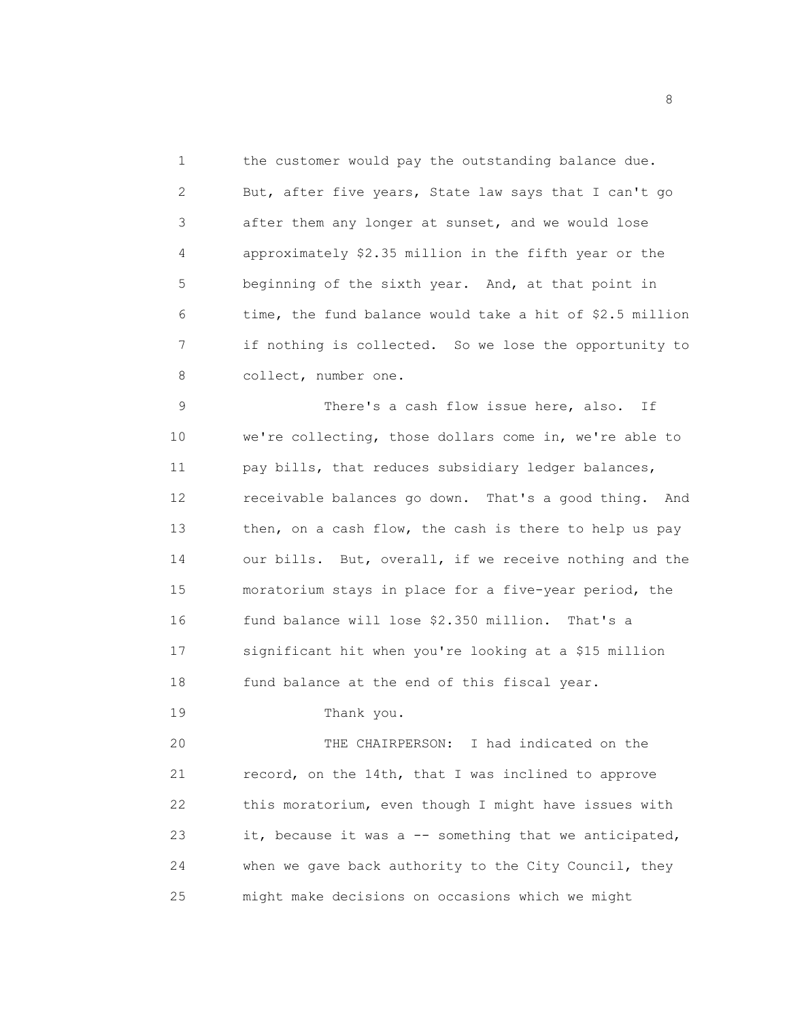1 the customer would pay the outstanding balance due. 2 But, after five years, State law says that I can't go 3 after them any longer at sunset, and we would lose 4 approximately \$2.35 million in the fifth year or the 5 beginning of the sixth year. And, at that point in 6 time, the fund balance would take a hit of \$2.5 million 7 if nothing is collected. So we lose the opportunity to 8 collect, number one.

9 There's a cash flow issue here, also. If 10 we're collecting, those dollars come in, we're able to 11 pay bills, that reduces subsidiary ledger balances, 12 receivable balances go down. That's a good thing. And 13 then, on a cash flow, the cash is there to help us pay 14 our bills. But, overall, if we receive nothing and the 15 moratorium stays in place for a five-year period, the 16 fund balance will lose \$2.350 million. That's a 17 significant hit when you're looking at a \$15 million 18 fund balance at the end of this fiscal year.

19 Thank you.

20 THE CHAIRPERSON: I had indicated on the 21 record, on the 14th, that I was inclined to approve 22 this moratorium, even though I might have issues with 23 it, because it was a -- something that we anticipated, 24 when we gave back authority to the City Council, they 25 might make decisions on occasions which we might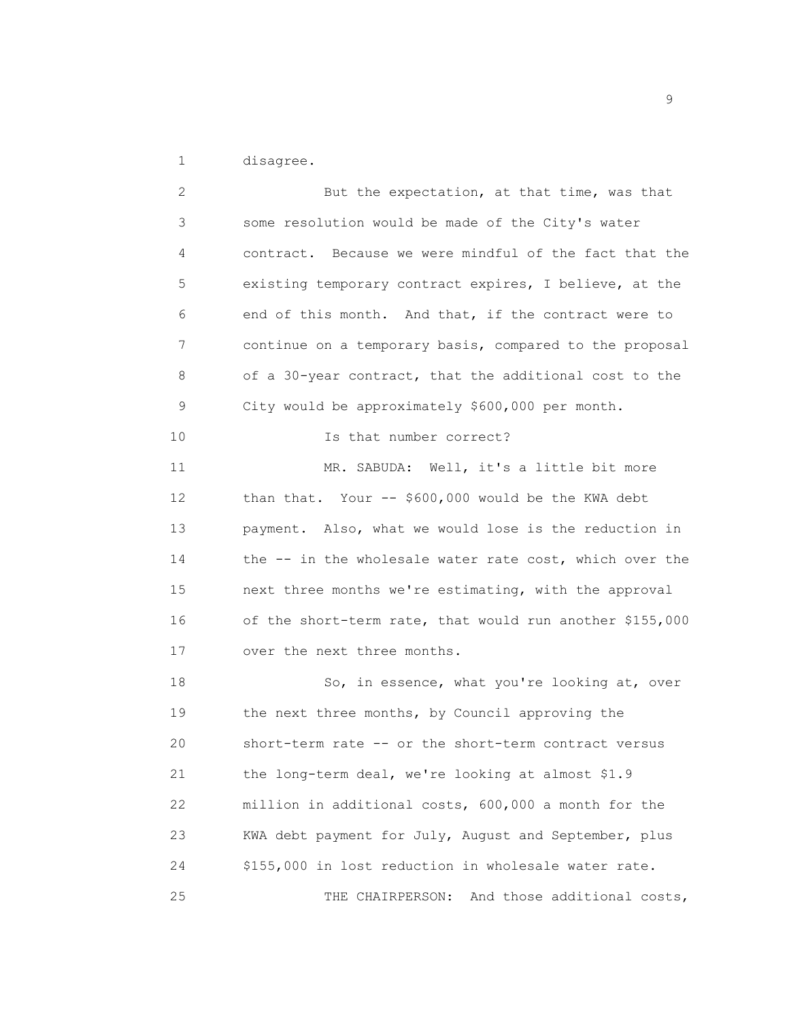1 disagree.

2 But the expectation, at that time, was that 3 some resolution would be made of the City's water 4 contract. Because we were mindful of the fact that the 5 existing temporary contract expires, I believe, at the 6 end of this month. And that, if the contract were to 7 continue on a temporary basis, compared to the proposal 8 of a 30-year contract, that the additional cost to the 9 City would be approximately \$600,000 per month. 10 Is that number correct? 11 MR. SABUDA: Well, it's a little bit more 12 than that. Your -- \$600,000 would be the KWA debt 13 payment. Also, what we would lose is the reduction in 14 the -- in the wholesale water rate cost, which over the 15 next three months we're estimating, with the approval 16 of the short-term rate, that would run another \$155,000 17 over the next three months. 18 So, in essence, what you're looking at, over 19 the next three months, by Council approving the 20 short-term rate -- or the short-term contract versus 21 the long-term deal, we're looking at almost \$1.9 22 million in additional costs, 600,000 a month for the 23 KWA debt payment for July, August and September, plus 24 \$155,000 in lost reduction in wholesale water rate. 25 THE CHAIRPERSON: And those additional costs,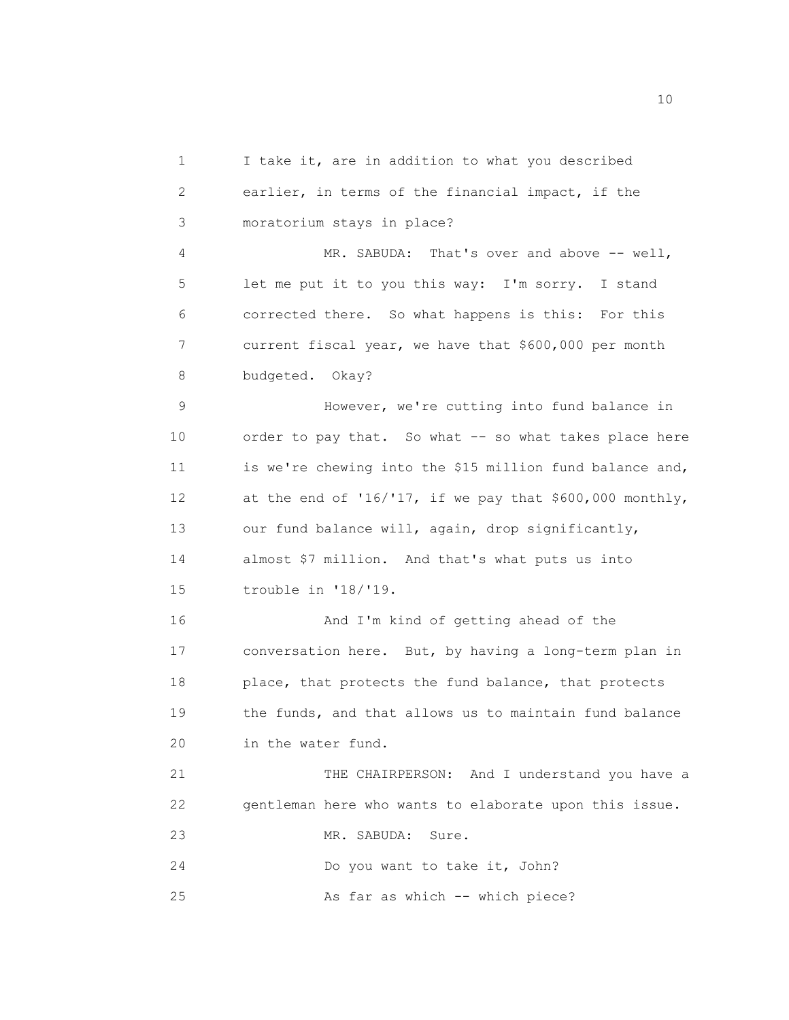1 I take it, are in addition to what you described 2 earlier, in terms of the financial impact, if the 3 moratorium stays in place? 4 MR. SABUDA: That's over and above -- well, 5 let me put it to you this way: I'm sorry. I stand 6 corrected there. So what happens is this: For this 7 current fiscal year, we have that \$600,000 per month 8 budgeted. Okay? 9 However, we're cutting into fund balance in 10 order to pay that. So what -- so what takes place here 11 is we're chewing into the \$15 million fund balance and, 12 at the end of '16/'17, if we pay that \$600,000 monthly, 13 our fund balance will, again, drop significantly, 14 almost \$7 million. And that's what puts us into 15 trouble in '18/'19. 16 And I'm kind of getting ahead of the 17 conversation here. But, by having a long-term plan in 18 place, that protects the fund balance, that protects 19 the funds, and that allows us to maintain fund balance 20 in the water fund. 21 THE CHAIRPERSON: And I understand you have a 22 gentleman here who wants to elaborate upon this issue. 23 MR. SABUDA: Sure. 24 Do you want to take it, John? 25 As far as which -- which piece?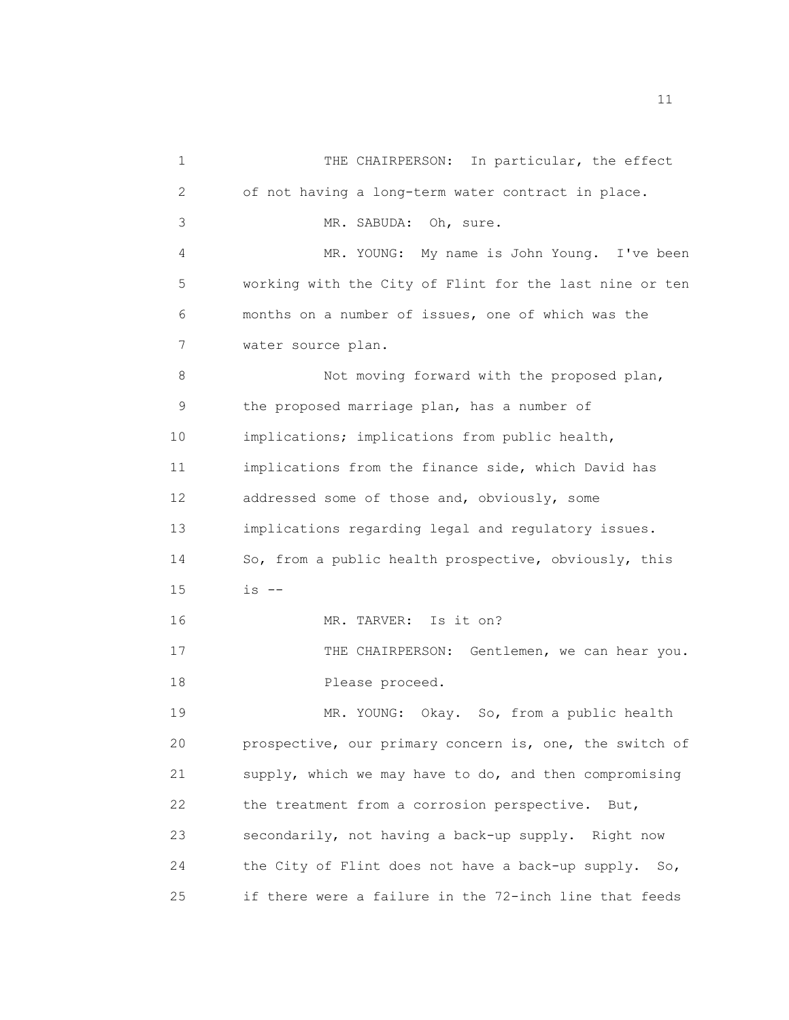1 THE CHAIRPERSON: In particular, the effect 2 of not having a long-term water contract in place. 3 MR. SABUDA: Oh, sure. 4 MR. YOUNG: My name is John Young. I've been 5 working with the City of Flint for the last nine or ten 6 months on a number of issues, one of which was the 7 water source plan. 8 Not moving forward with the proposed plan, 9 the proposed marriage plan, has a number of 10 implications; implications from public health, 11 implications from the finance side, which David has 12 addressed some of those and, obviously, some 13 implications regarding legal and regulatory issues. 14 So, from a public health prospective, obviously, this  $15$  is  $-$ 16 MR. TARVER: Is it on? 17 THE CHAIRPERSON: Gentlemen, we can hear you. 18 Please proceed. 19 MR. YOUNG: Okay. So, from a public health 20 prospective, our primary concern is, one, the switch of 21 supply, which we may have to do, and then compromising 22 the treatment from a corrosion perspective. But, 23 secondarily, not having a back-up supply. Right now 24 the City of Flint does not have a back-up supply. So, 25 if there were a failure in the 72-inch line that feeds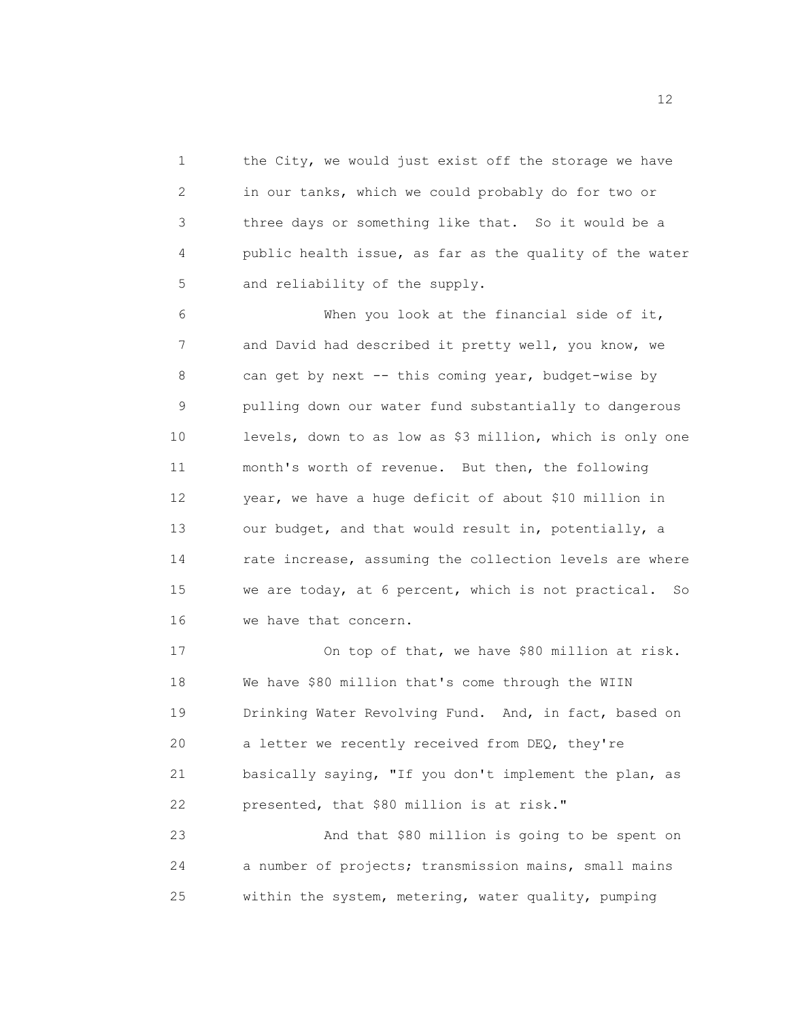1 the City, we would just exist off the storage we have 2 in our tanks, which we could probably do for two or 3 three days or something like that. So it would be a 4 public health issue, as far as the quality of the water 5 and reliability of the supply.

6 When you look at the financial side of it, 7 and David had described it pretty well, you know, we 8 can get by next -- this coming year, budget-wise by 9 pulling down our water fund substantially to dangerous 10 levels, down to as low as \$3 million, which is only one 11 month's worth of revenue. But then, the following 12 year, we have a huge deficit of about \$10 million in 13 our budget, and that would result in, potentially, a 14 rate increase, assuming the collection levels are where 15 we are today, at 6 percent, which is not practical. So 16 we have that concern.

17 On top of that, we have \$80 million at risk. 18 We have \$80 million that's come through the WIIN 19 Drinking Water Revolving Fund. And, in fact, based on 20 a letter we recently received from DEQ, they're 21 basically saying, "If you don't implement the plan, as 22 presented, that \$80 million is at risk."

23 And that \$80 million is going to be spent on 24 a number of projects; transmission mains, small mains 25 within the system, metering, water quality, pumping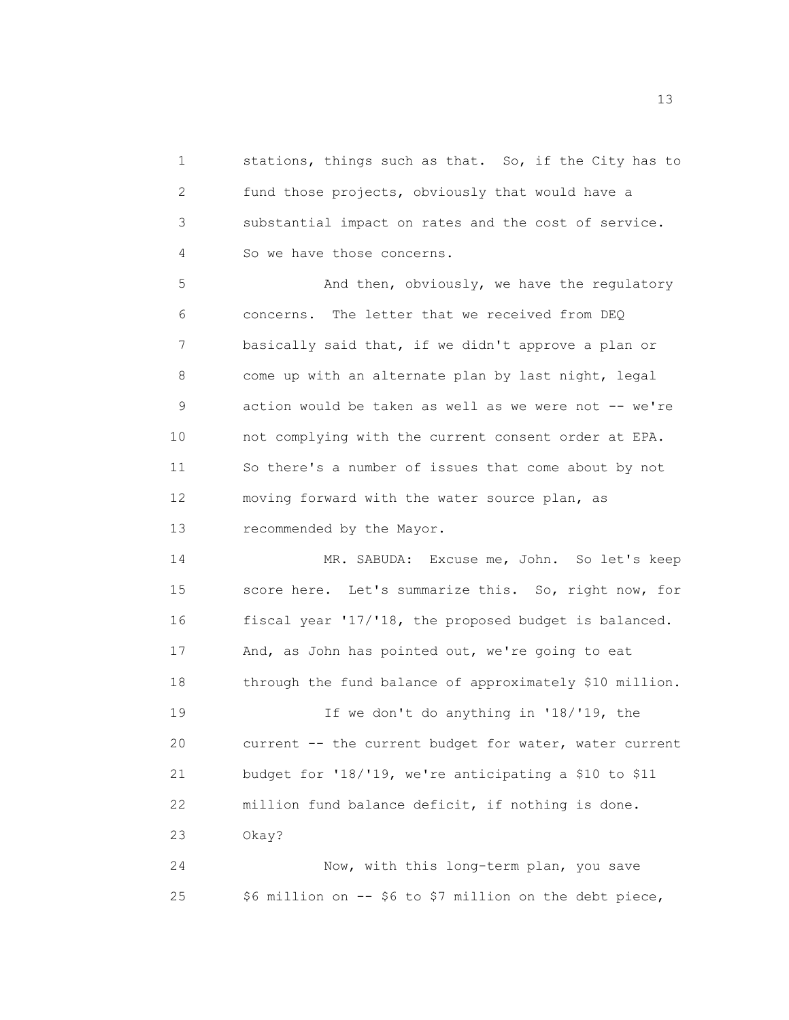1 stations, things such as that. So, if the City has to 2 fund those projects, obviously that would have a 3 substantial impact on rates and the cost of service. 4 So we have those concerns.

5 And then, obviously, we have the regulatory 6 concerns. The letter that we received from DEQ 7 basically said that, if we didn't approve a plan or 8 come up with an alternate plan by last night, legal 9 action would be taken as well as we were not -- we're 10 not complying with the current consent order at EPA. 11 So there's a number of issues that come about by not 12 moving forward with the water source plan, as 13 recommended by the Mayor.

14 MR. SABUDA: Excuse me, John. So let's keep 15 score here. Let's summarize this. So, right now, for 16 fiscal year '17/'18, the proposed budget is balanced. 17 And, as John has pointed out, we're going to eat 18 through the fund balance of approximately \$10 million.

19 If we don't do anything in '18/'19, the 20 current -- the current budget for water, water current 21 budget for '18/'19, we're anticipating a \$10 to \$11 22 million fund balance deficit, if nothing is done. 23 Okay?

24 Now, with this long-term plan, you save 25 \$6 million on -- \$6 to \$7 million on the debt piece,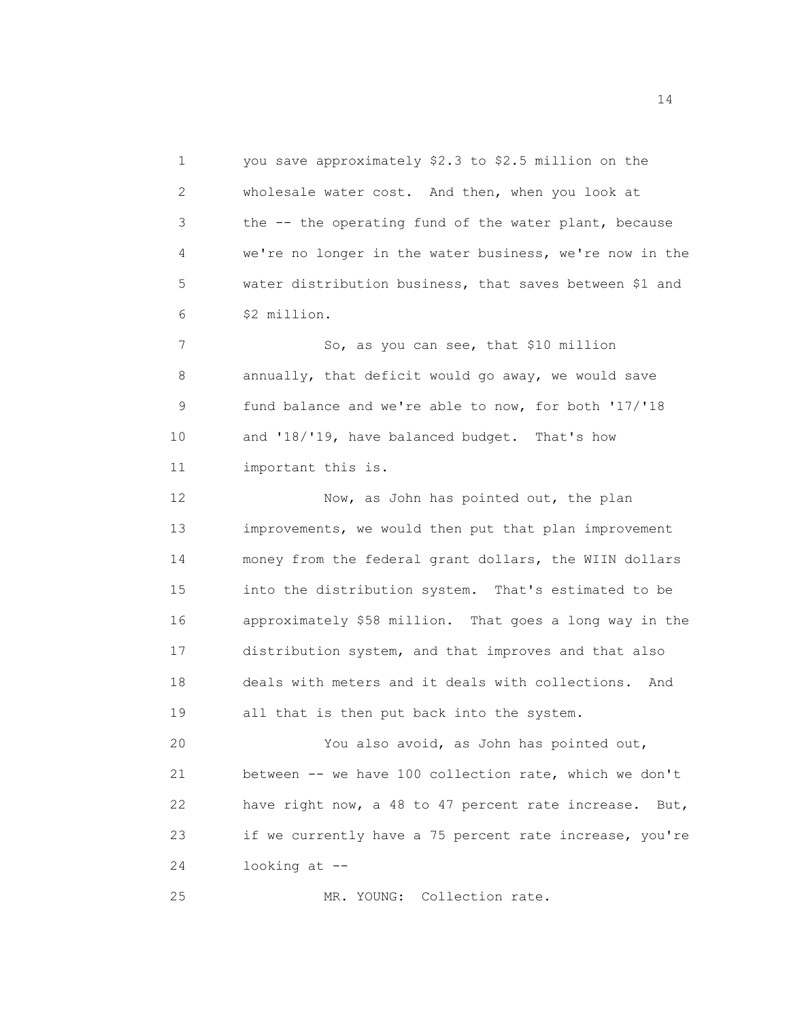1 you save approximately \$2.3 to \$2.5 million on the 2 wholesale water cost. And then, when you look at 3 the -- the operating fund of the water plant, because 4 we're no longer in the water business, we're now in the 5 water distribution business, that saves between \$1 and 6 \$2 million.

7 So, as you can see, that \$10 million 8 annually, that deficit would go away, we would save 9 fund balance and we're able to now, for both '17/'18 10 and '18/'19, have balanced budget. That's how 11 important this is.

12 Now, as John has pointed out, the plan 13 improvements, we would then put that plan improvement 14 money from the federal grant dollars, the WIIN dollars 15 into the distribution system. That's estimated to be 16 approximately \$58 million. That goes a long way in the 17 distribution system, and that improves and that also 18 deals with meters and it deals with collections. And 19 all that is then put back into the system.

20 You also avoid, as John has pointed out, 21 between -- we have 100 collection rate, which we don't 22 have right now, a 48 to 47 percent rate increase. But, 23 if we currently have a 75 percent rate increase, you're 24 looking at --

25 MR. YOUNG: Collection rate.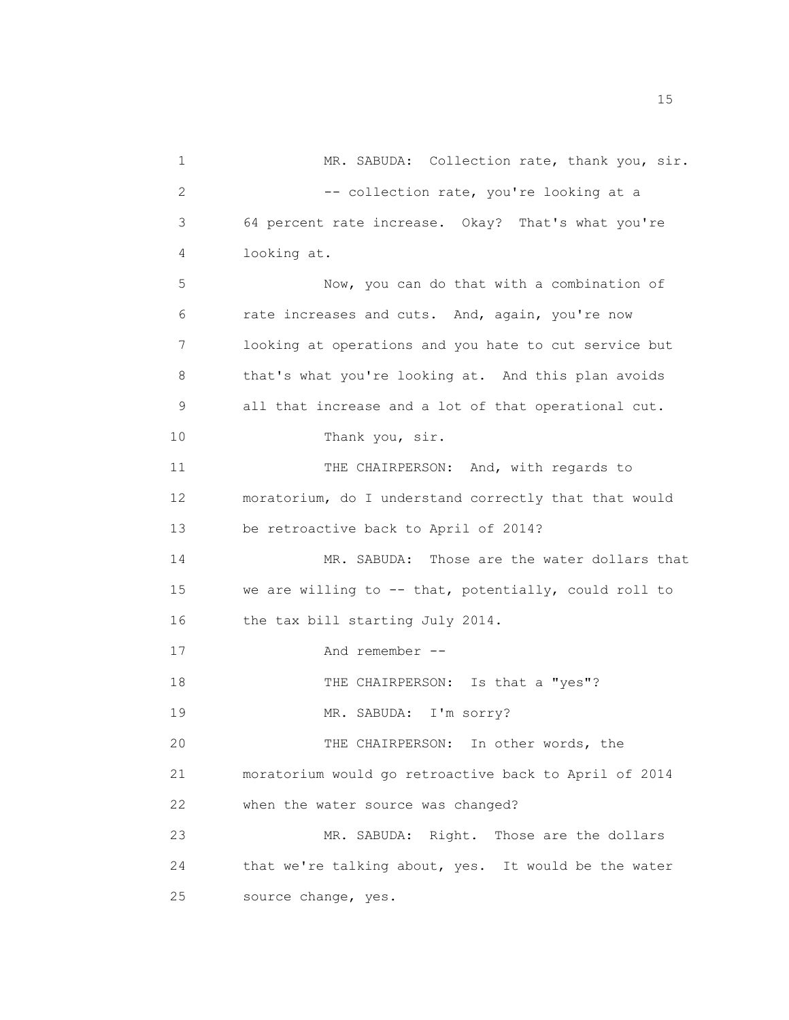1 MR. SABUDA: Collection rate, thank you, sir. 2 -- collection rate, you're looking at a 3 64 percent rate increase. Okay? That's what you're 4 looking at. 5 Now, you can do that with a combination of 6 rate increases and cuts. And, again, you're now 7 looking at operations and you hate to cut service but 8 that's what you're looking at. And this plan avoids 9 all that increase and a lot of that operational cut. 10 Thank you, sir. 11 THE CHAIRPERSON: And, with regards to 12 moratorium, do I understand correctly that that would 13 be retroactive back to April of 2014? 14 MR. SABUDA: Those are the water dollars that 15 we are willing to -- that, potentially, could roll to 16 the tax bill starting July 2014. 17 And remember -- 18 THE CHAIRPERSON: Is that a "yes"? 19 MR. SABUDA: I'm sorry? 20 THE CHAIRPERSON: In other words, the 21 moratorium would go retroactive back to April of 2014 22 when the water source was changed? 23 MR. SABUDA: Right. Those are the dollars 24 that we're talking about, yes. It would be the water 25 source change, yes.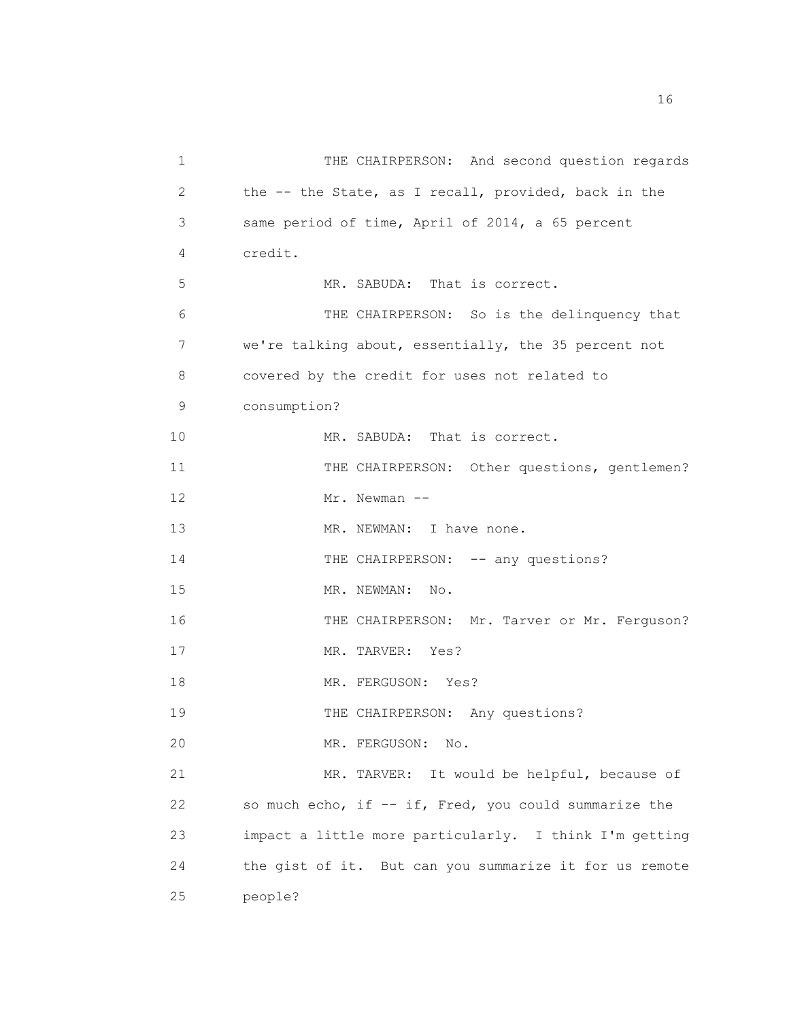| 1  | THE CHAIRPERSON: And second question regards           |
|----|--------------------------------------------------------|
| 2  | the -- the State, as I recall, provided, back in the   |
| 3  | same period of time, April of 2014, a 65 percent       |
| 4  | credit.                                                |
| 5  | MR. SABUDA: That is correct.                           |
| 6  | THE CHAIRPERSON: So is the delinquency that            |
| 7  | we're talking about, essentially, the 35 percent not   |
| 8  | covered by the credit for uses not related to          |
| 9  | consumption?                                           |
| 10 | MR. SABUDA: That is correct.                           |
| 11 | THE CHAIRPERSON: Other questions, gentlemen?           |
| 12 | Mr. Newman --                                          |
| 13 | MR. NEWMAN: I have none.                               |
| 14 | THE CHAIRPERSON: -- any questions?                     |
| 15 | MR. NEWMAN: No.                                        |
| 16 | THE CHAIRPERSON: Mr. Tarver or Mr. Ferguson?           |
| 17 | MR. TARVER: Yes?                                       |
| 18 | MR. FERGUSON: Yes?                                     |
| 19 | THE CHAIRPERSON: Any questions?                        |
| 20 | MR. FERGUSON: No.                                      |
| 21 | MR. TARVER: It would be helpful, because of            |
| 22 | so much echo, if -- if, Fred, you could summarize the  |
| 23 | impact a little more particularly. I think I'm getting |
| 24 | the gist of it. But can you summarize it for us remote |
| 25 | people?                                                |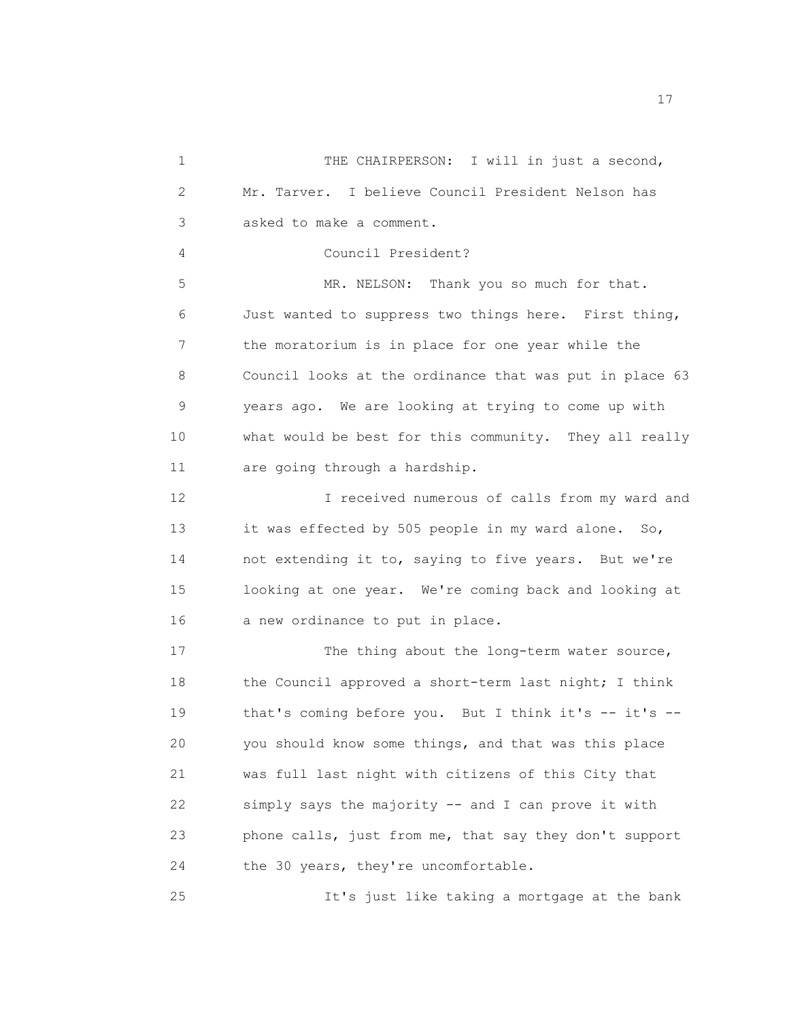1 THE CHAIRPERSON: I will in just a second, 2 Mr. Tarver. I believe Council President Nelson has 3 asked to make a comment. 4 Council President? 5 MR. NELSON: Thank you so much for that. 6 Just wanted to suppress two things here. First thing, 7 the moratorium is in place for one year while the 8 Council looks at the ordinance that was put in place 63 9 years ago. We are looking at trying to come up with 10 what would be best for this community. They all really 11 are going through a hardship. 12 I received numerous of calls from my ward and 13 it was effected by 505 people in my ward alone. So, 14 not extending it to, saying to five years. But we're 15 looking at one year. We're coming back and looking at 16 a new ordinance to put in place. 17 The thing about the long-term water source, 18 the Council approved a short-term last night; I think 19 that's coming before you. But I think it's -- it's --20 you should know some things, and that was this place 21 was full last night with citizens of this City that 22 simply says the majority -- and I can prove it with 23 phone calls, just from me, that say they don't support 24 the 30 years, they're uncomfortable. 25 It's just like taking a mortgage at the bank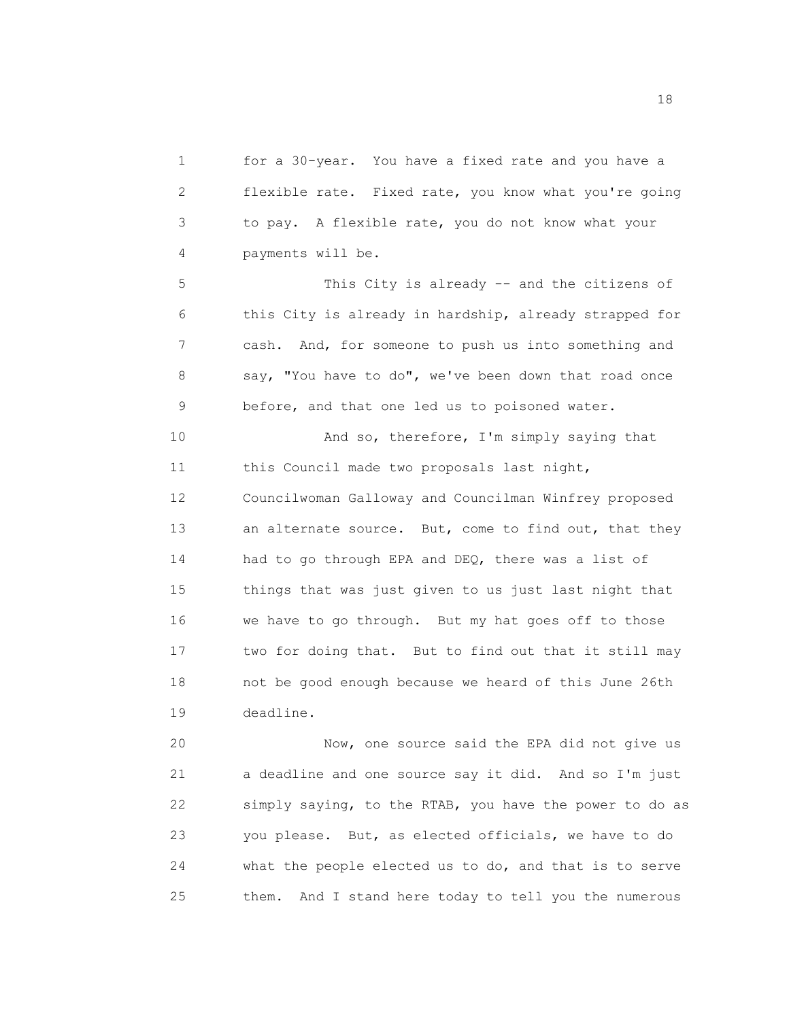1 for a 30-year. You have a fixed rate and you have a 2 flexible rate. Fixed rate, you know what you're going 3 to pay. A flexible rate, you do not know what your 4 payments will be.

5 This City is already -- and the citizens of 6 this City is already in hardship, already strapped for 7 cash. And, for someone to push us into something and 8 say, "You have to do", we've been down that road once 9 before, and that one led us to poisoned water.

10 And so, therefore, I'm simply saying that 11 this Council made two proposals last night, 12 Councilwoman Galloway and Councilman Winfrey proposed 13 an alternate source. But, come to find out, that they 14 had to go through EPA and DEQ, there was a list of 15 things that was just given to us just last night that 16 we have to go through. But my hat goes off to those 17 two for doing that. But to find out that it still may 18 not be good enough because we heard of this June 26th 19 deadline.

20 Now, one source said the EPA did not give us 21 a deadline and one source say it did. And so I'm just 22 simply saying, to the RTAB, you have the power to do as 23 you please. But, as elected officials, we have to do 24 what the people elected us to do, and that is to serve 25 them. And I stand here today to tell you the numerous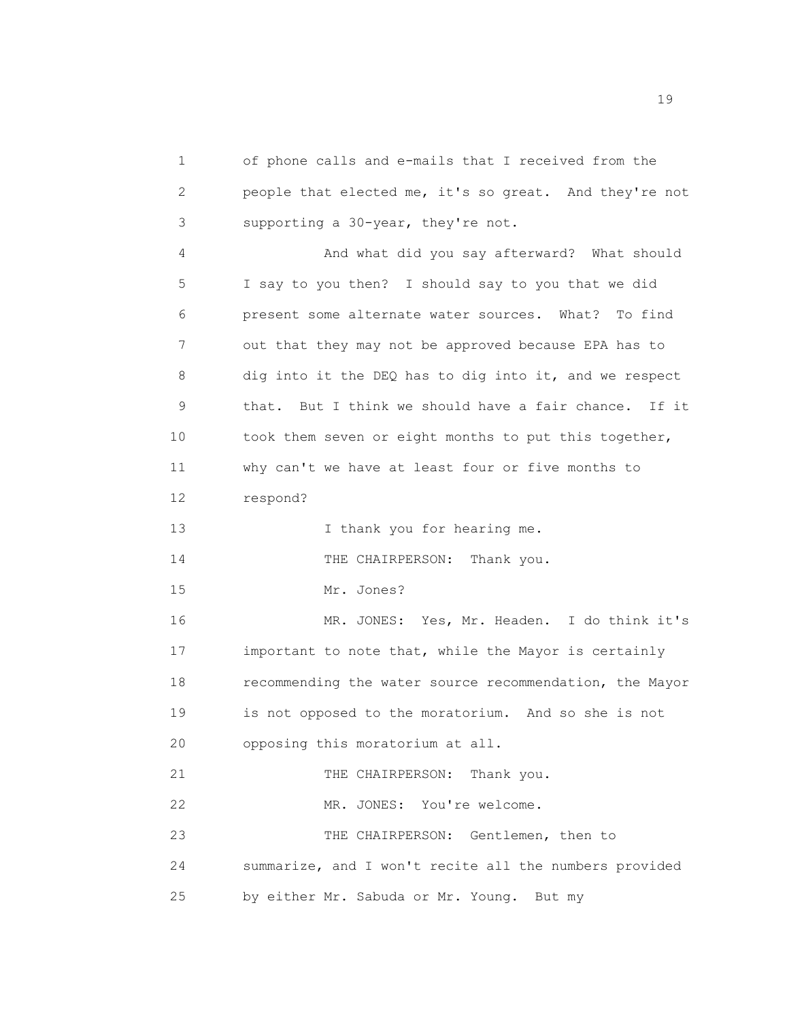1 of phone calls and e-mails that I received from the 2 people that elected me, it's so great. And they're not 3 supporting a 30-year, they're not.

4 And what did you say afterward? What should 5 I say to you then? I should say to you that we did 6 present some alternate water sources. What? To find 7 out that they may not be approved because EPA has to 8 dig into it the DEQ has to dig into it, and we respect 9 that. But I think we should have a fair chance. If it 10 took them seven or eight months to put this together, 11 why can't we have at least four or five months to 12 respond?

13 I thank you for hearing me.

14 THE CHAIRPERSON: Thank you.

15 Mr. Jones?

16 MR. JONES: Yes, Mr. Headen. I do think it's 17 important to note that, while the Mayor is certainly 18 recommending the water source recommendation, the Mayor 19 is not opposed to the moratorium. And so she is not 20 opposing this moratorium at all.

21 THE CHAIRPERSON: Thank you.

22 MR. JONES: You're welcome.

23 THE CHAIRPERSON: Gentlemen, then to 24 summarize, and I won't recite all the numbers provided 25 by either Mr. Sabuda or Mr. Young. But my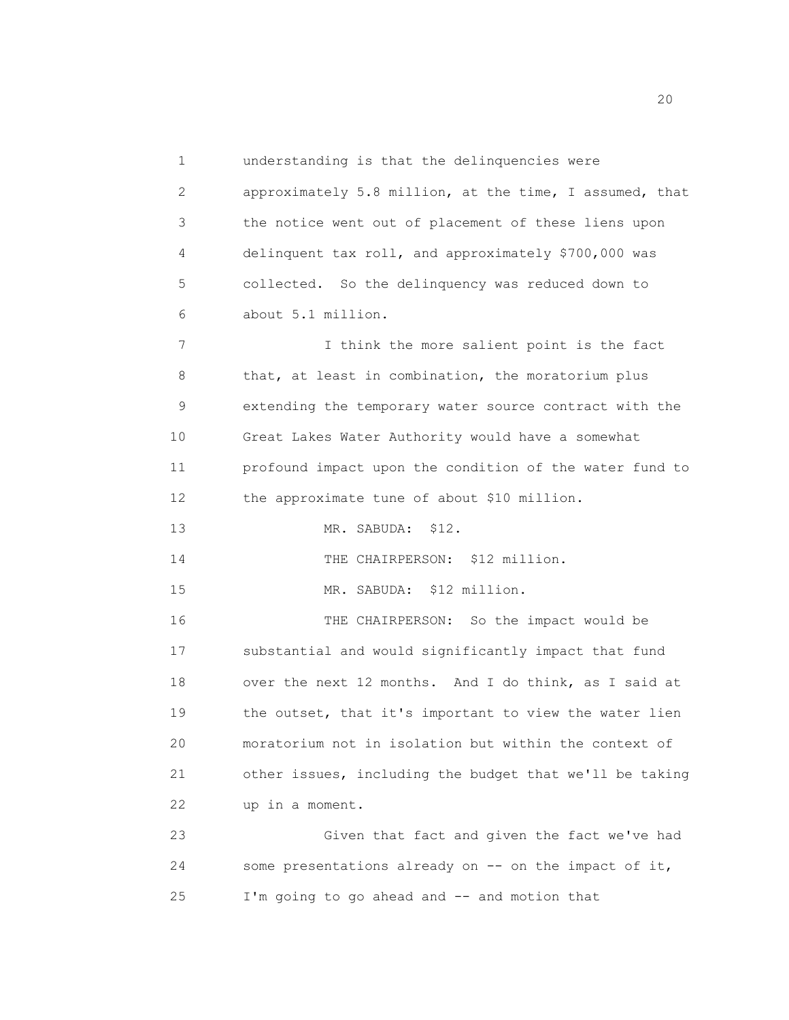1 understanding is that the delinquencies were

2 approximately 5.8 million, at the time, I assumed, that 3 the notice went out of placement of these liens upon 4 delinquent tax roll, and approximately \$700,000 was 5 collected. So the delinquency was reduced down to 6 about 5.1 million.

7 I think the more salient point is the fact 8 that, at least in combination, the moratorium plus 9 extending the temporary water source contract with the 10 Great Lakes Water Authority would have a somewhat 11 profound impact upon the condition of the water fund to 12 the approximate tune of about \$10 million.

13 MR. SABUDA: \$12.

14 THE CHAIRPERSON: \$12 million.

15 MR. SABUDA: \$12 million.

16 THE CHAIRPERSON: So the impact would be 17 substantial and would significantly impact that fund 18 over the next 12 months. And I do think, as I said at 19 the outset, that it's important to view the water lien 20 moratorium not in isolation but within the context of 21 other issues, including the budget that we'll be taking 22 up in a moment.

23 Given that fact and given the fact we've had 24 some presentations already on -- on the impact of it, 25 I'm going to go ahead and -- and motion that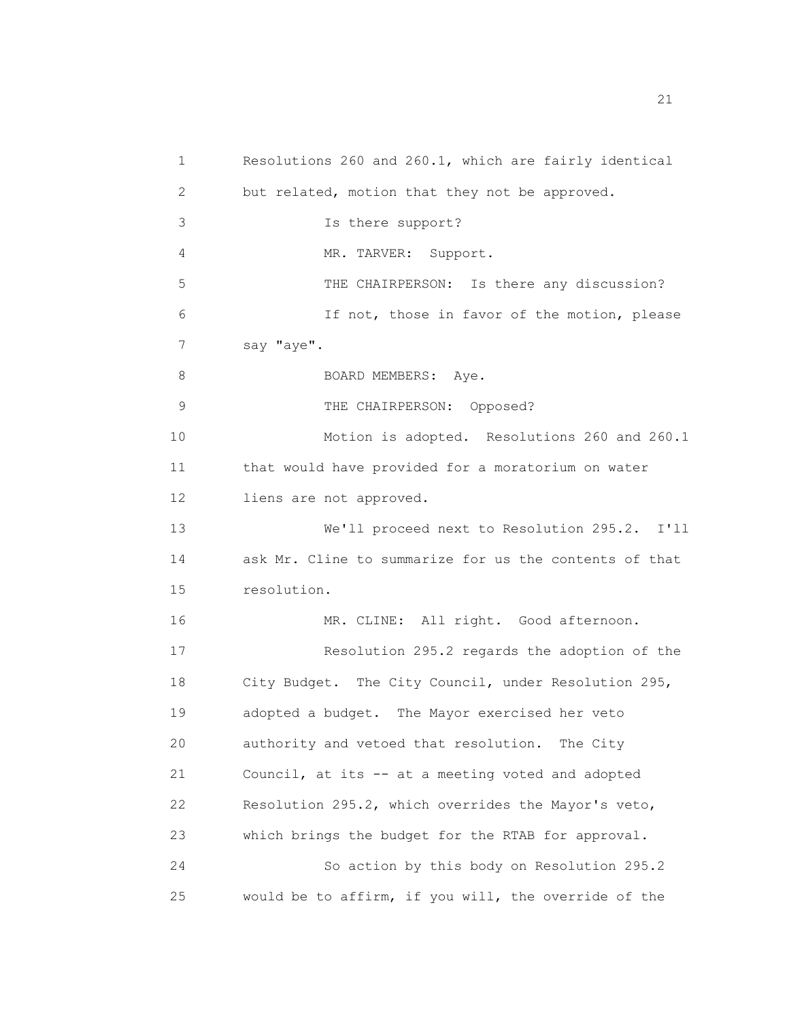1 Resolutions 260 and 260.1, which are fairly identical 2 but related, motion that they not be approved. 3 Is there support? 4 MR. TARVER: Support. 5 THE CHAIRPERSON: Is there any discussion? 6 If not, those in favor of the motion, please 7 say "aye". 8 BOARD MEMBERS: Aye. 9 THE CHAIRPERSON: Opposed? 10 Motion is adopted. Resolutions 260 and 260.1 11 that would have provided for a moratorium on water 12 liens are not approved. 13 We'll proceed next to Resolution 295.2. I'll 14 ask Mr. Cline to summarize for us the contents of that 15 resolution. 16 MR. CLINE: All right. Good afternoon. 17 Resolution 295.2 regards the adoption of the 18 City Budget. The City Council, under Resolution 295, 19 adopted a budget. The Mayor exercised her veto 20 authority and vetoed that resolution. The City 21 Council, at its -- at a meeting voted and adopted 22 Resolution 295.2, which overrides the Mayor's veto, 23 which brings the budget for the RTAB for approval. 24 So action by this body on Resolution 295.2 25 would be to affirm, if you will, the override of the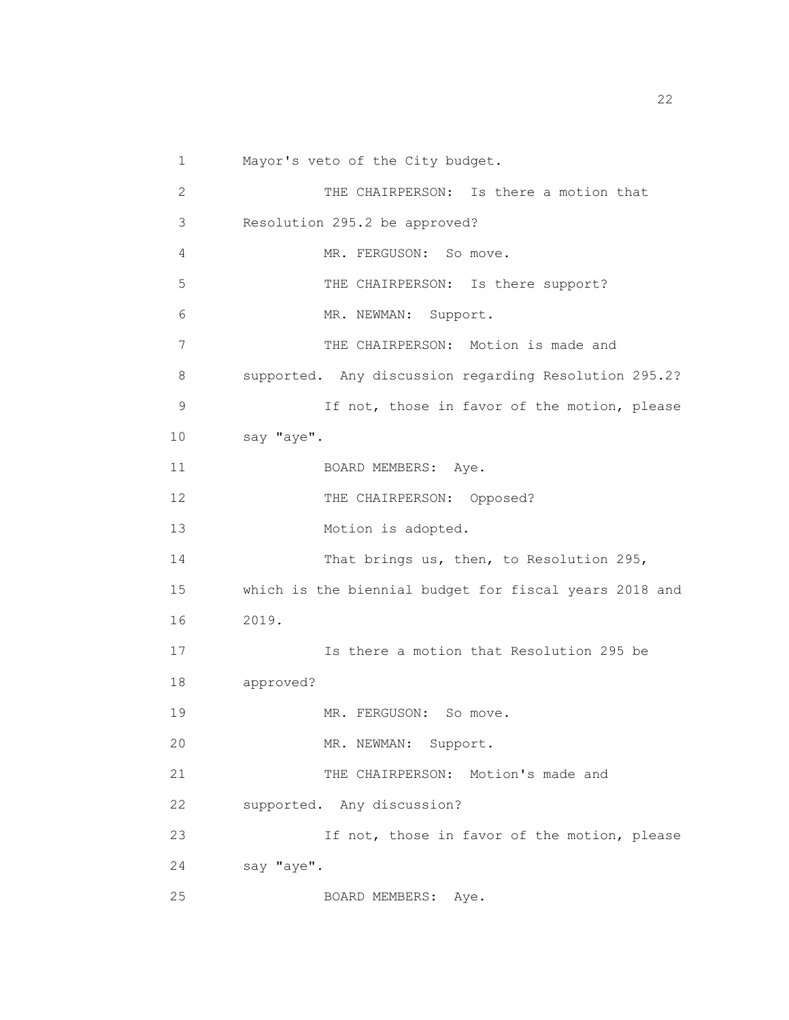1 Mayor's veto of the City budget. 2 THE CHAIRPERSON: Is there a motion that 3 Resolution 295.2 be approved? 4 MR. FERGUSON: So move. 5 THE CHAIRPERSON: Is there support? 6 MR. NEWMAN: Support. 7 THE CHAIRPERSON: Motion is made and 8 supported. Any discussion regarding Resolution 295.2? 9 If not, those in favor of the motion, please 10 say "aye". 11 BOARD MEMBERS: Aye. 12 THE CHAIRPERSON: Opposed? 13 Motion is adopted. 14 That brings us, then, to Resolution 295, 15 which is the biennial budget for fiscal years 2018 and 16 2019. 17 Is there a motion that Resolution 295 be 18 approved? 19 MR. FERGUSON: So move. 20 MR. NEWMAN: Support. 21 THE CHAIRPERSON: Motion's made and 22 supported. Any discussion? 23 If not, those in favor of the motion, please 24 say "aye". 25 BOARD MEMBERS: Aye.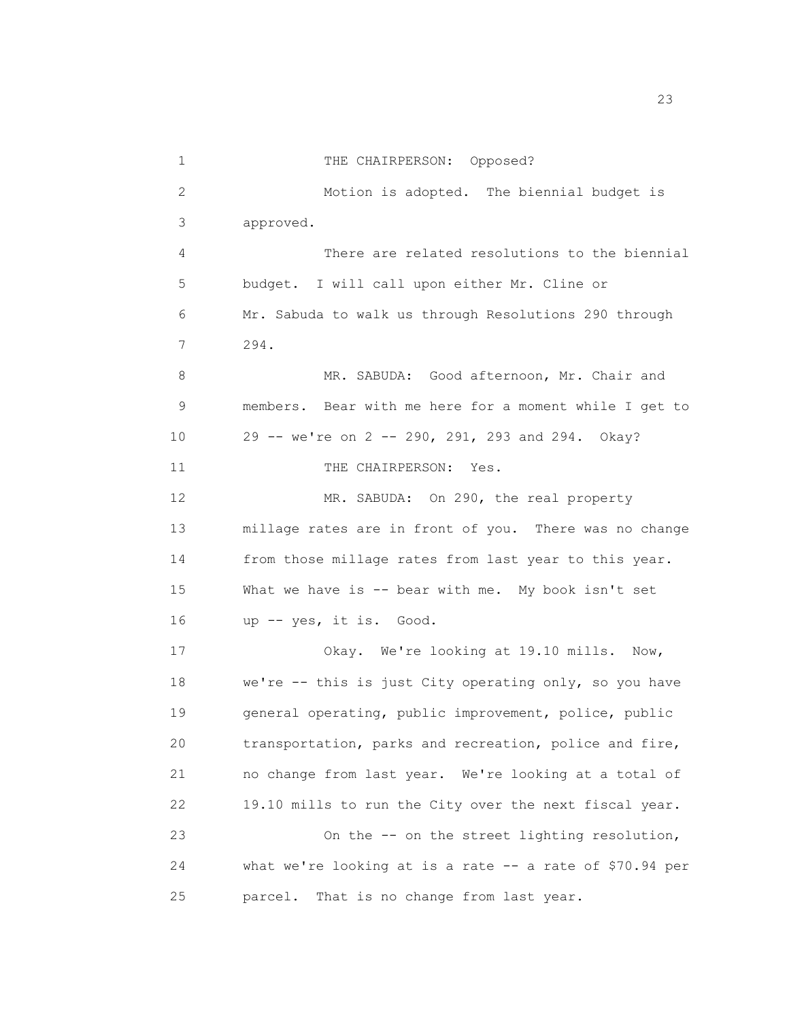1 THE CHAIRPERSON: Opposed? 2 Motion is adopted. The biennial budget is 3 approved. 4 There are related resolutions to the biennial 5 budget. I will call upon either Mr. Cline or 6 Mr. Sabuda to walk us through Resolutions 290 through 7 294. 8 MR. SABUDA: Good afternoon, Mr. Chair and 9 members. Bear with me here for a moment while I get to 10 29 -- we're on 2 -- 290, 291, 293 and 294. Okay? 11 THE CHAIRPERSON: Yes. 12 MR. SABUDA: On 290, the real property 13 millage rates are in front of you. There was no change 14 from those millage rates from last year to this year. 15 What we have is -- bear with me. My book isn't set 16 up -- yes, it is. Good. 17 Okay. We're looking at 19.10 mills. Now, 18 we're -- this is just City operating only, so you have 19 general operating, public improvement, police, public 20 transportation, parks and recreation, police and fire, 21 no change from last year. We're looking at a total of 22 19.10 mills to run the City over the next fiscal year. 23 On the -- on the street lighting resolution, 24 what we're looking at is a rate -- a rate of \$70.94 per 25 parcel. That is no change from last year.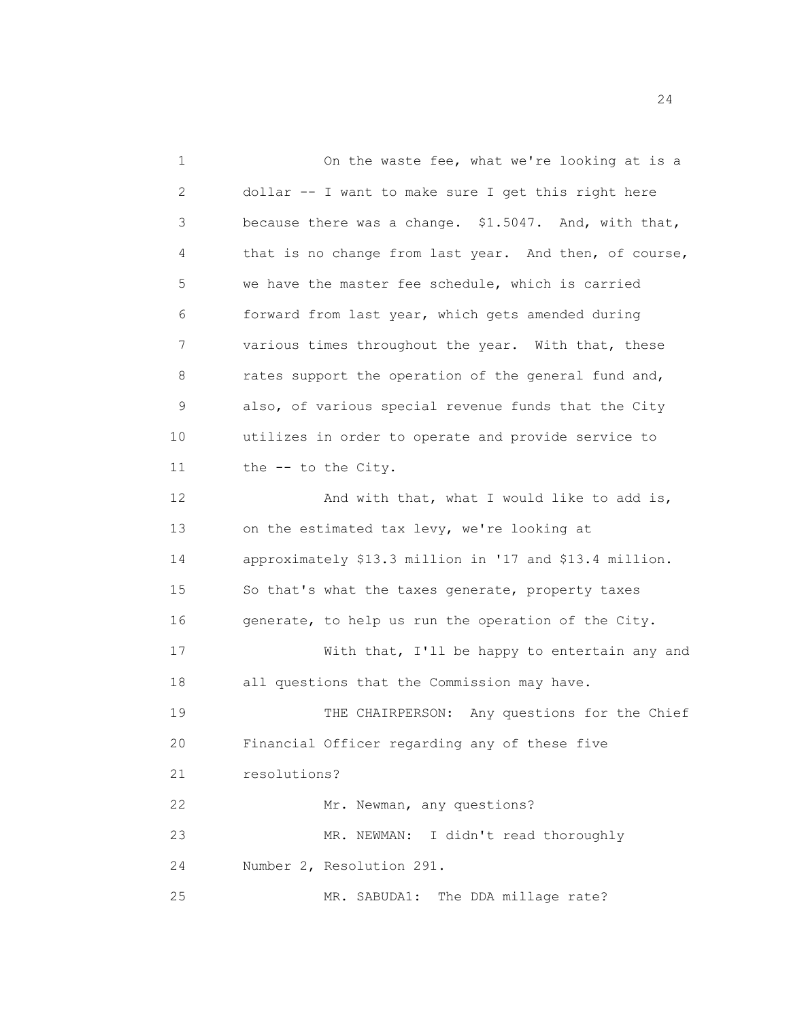1 On the waste fee, what we're looking at is a 2 dollar -- I want to make sure I get this right here 3 because there was a change. \$1.5047. And, with that, 4 that is no change from last year. And then, of course, 5 we have the master fee schedule, which is carried 6 forward from last year, which gets amended during 7 various times throughout the year. With that, these 8 rates support the operation of the general fund and, 9 also, of various special revenue funds that the City 10 utilizes in order to operate and provide service to 11 the -- to the City. 12 And with that, what I would like to add is, 13 on the estimated tax levy, we're looking at 14 approximately \$13.3 million in '17 and \$13.4 million. 15 So that's what the taxes generate, property taxes 16 generate, to help us run the operation of the City. 17 With that, I'll be happy to entertain any and 18 all questions that the Commission may have. 19 THE CHAIRPERSON: Any questions for the Chief 20 Financial Officer regarding any of these five 21 resolutions? 22 Mr. Newman, any questions? 23 MR. NEWMAN: I didn't read thoroughly 24 Number 2, Resolution 291. 25 MR. SABUDA1: The DDA millage rate?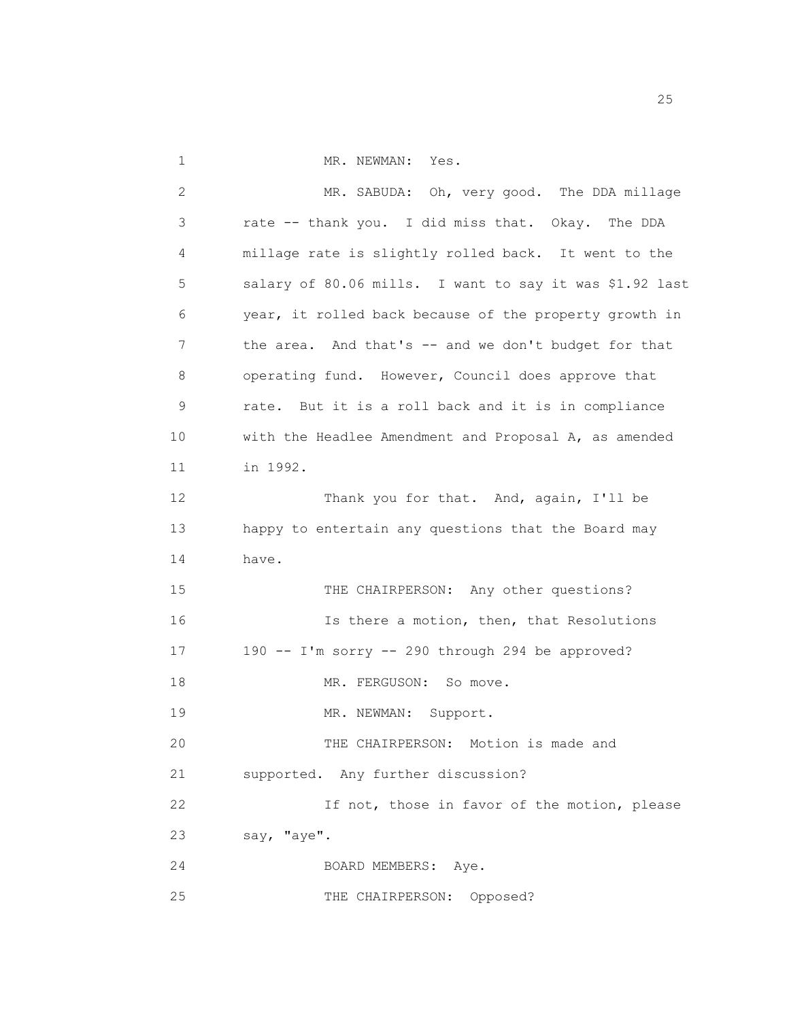- 
- 1 MR. NEWMAN: Yes.

| 2  | MR. SABUDA: Oh, very good. The DDA millage              |
|----|---------------------------------------------------------|
| 3  | rate -- thank you. I did miss that. Okay. The DDA       |
| 4  | millage rate is slightly rolled back. It went to the    |
| 5  | salary of 80.06 mills. I want to say it was \$1.92 last |
| 6  | year, it rolled back because of the property growth in  |
| 7  | the area. And that's -- and we don't budget for that    |
| 8  | operating fund. However, Council does approve that      |
| 9  | rate. But it is a roll back and it is in compliance     |
| 10 | with the Headlee Amendment and Proposal A, as amended   |
| 11 | in 1992.                                                |
| 12 | Thank you for that. And, again, I'll be                 |
| 13 | happy to entertain any questions that the Board may     |
| 14 | have.                                                   |
| 15 | THE CHAIRPERSON: Any other questions?                   |
| 16 | Is there a motion, then, that Resolutions               |
| 17 | 190 -- I'm sorry -- 290 through 294 be approved?        |
| 18 | MR. FERGUSON: So move.                                  |
| 19 | MR. NEWMAN: Support.                                    |
| 20 | THE CHAIRPERSON: Motion is made and                     |
| 21 | supported. Any further discussion?                      |
| 22 | If not, those in favor of the motion, please            |
| 23 | say, "aye".                                             |
| 24 | BOARD MEMBERS: Aye.                                     |
| 25 | Opposed?<br>THE CHAIRPERSON:                            |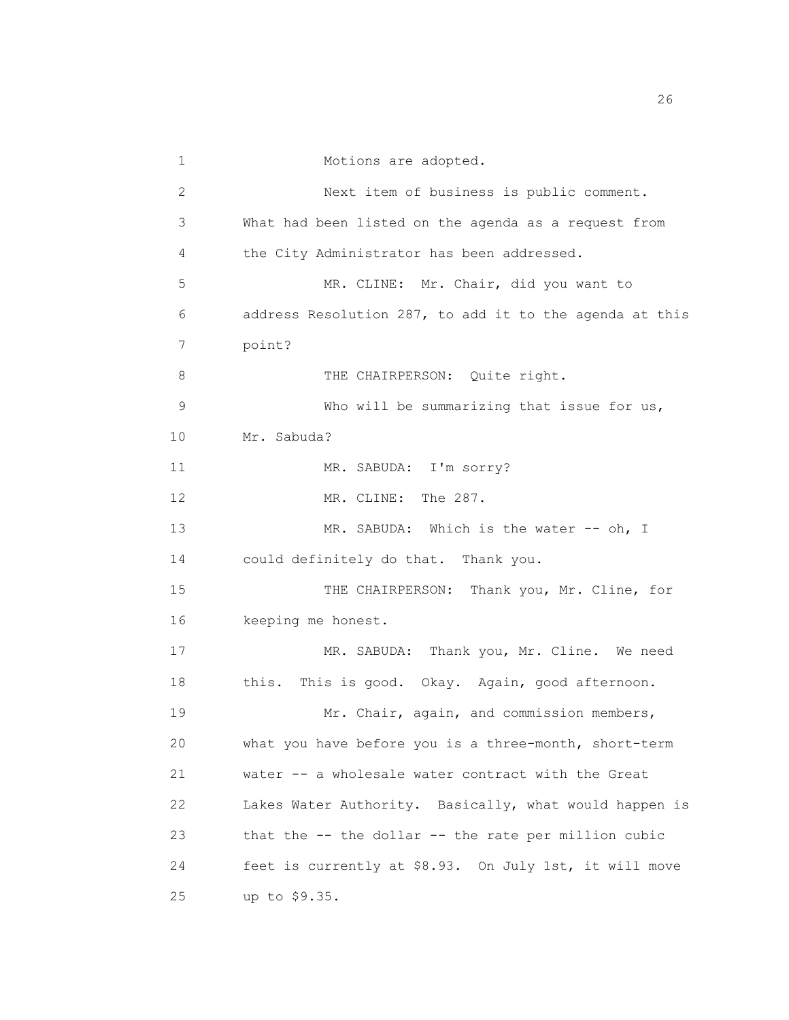1 Motions are adopted. 2 Next item of business is public comment. 3 What had been listed on the agenda as a request from 4 the City Administrator has been addressed. 5 MR. CLINE: Mr. Chair, did you want to 6 address Resolution 287, to add it to the agenda at this 7 point? 8 THE CHAIRPERSON: Quite right. 9 Who will be summarizing that issue for us, 10 Mr. Sabuda? 11 MR. SABUDA: I'm sorry? 12 MR. CLINE: The 287. 13 MR. SABUDA: Which is the water -- oh, I 14 could definitely do that. Thank you. 15 THE CHAIRPERSON: Thank you, Mr. Cline, for 16 keeping me honest. 17 MR. SABUDA: Thank you, Mr. Cline. We need 18 this. This is good. Okay. Again, good afternoon. 19 Mr. Chair, again, and commission members, 20 what you have before you is a three-month, short-term 21 water -- a wholesale water contract with the Great 22 Lakes Water Authority. Basically, what would happen is 23 that the -- the dollar -- the rate per million cubic 24 feet is currently at \$8.93. On July 1st, it will move 25 up to \$9.35.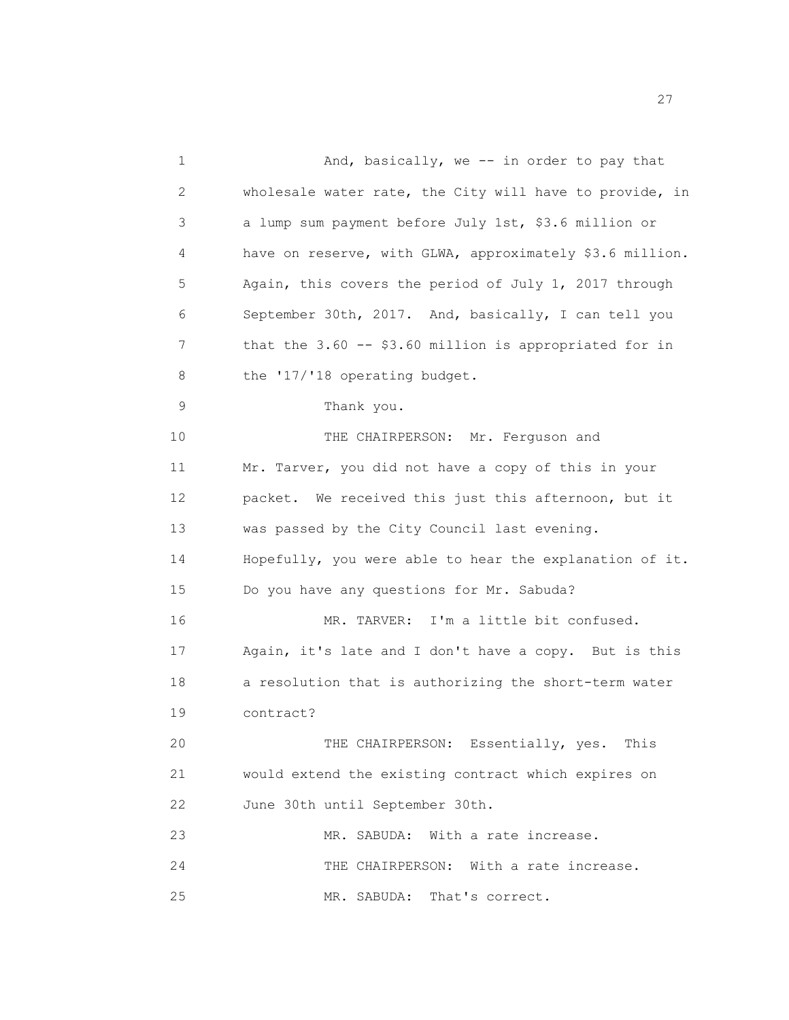1 And, basically, we -- in order to pay that 2 wholesale water rate, the City will have to provide, in 3 a lump sum payment before July 1st, \$3.6 million or 4 have on reserve, with GLWA, approximately \$3.6 million. 5 Again, this covers the period of July 1, 2017 through 6 September 30th, 2017. And, basically, I can tell you 7 that the 3.60 -- \$3.60 million is appropriated for in 8 the '17/'18 operating budget. 9 Thank you. 10 THE CHAIRPERSON: Mr. Ferguson and 11 Mr. Tarver, you did not have a copy of this in your 12 packet. We received this just this afternoon, but it 13 was passed by the City Council last evening. 14 Hopefully, you were able to hear the explanation of it. 15 Do you have any questions for Mr. Sabuda? 16 MR. TARVER: I'm a little bit confused. 17 Again, it's late and I don't have a copy. But is this 18 a resolution that is authorizing the short-term water 19 contract? 20 THE CHAIRPERSON: Essentially, yes. This 21 would extend the existing contract which expires on 22 June 30th until September 30th. 23 MR. SABUDA: With a rate increase. 24 THE CHAIRPERSON: With a rate increase. 25 MR. SABUDA: That's correct.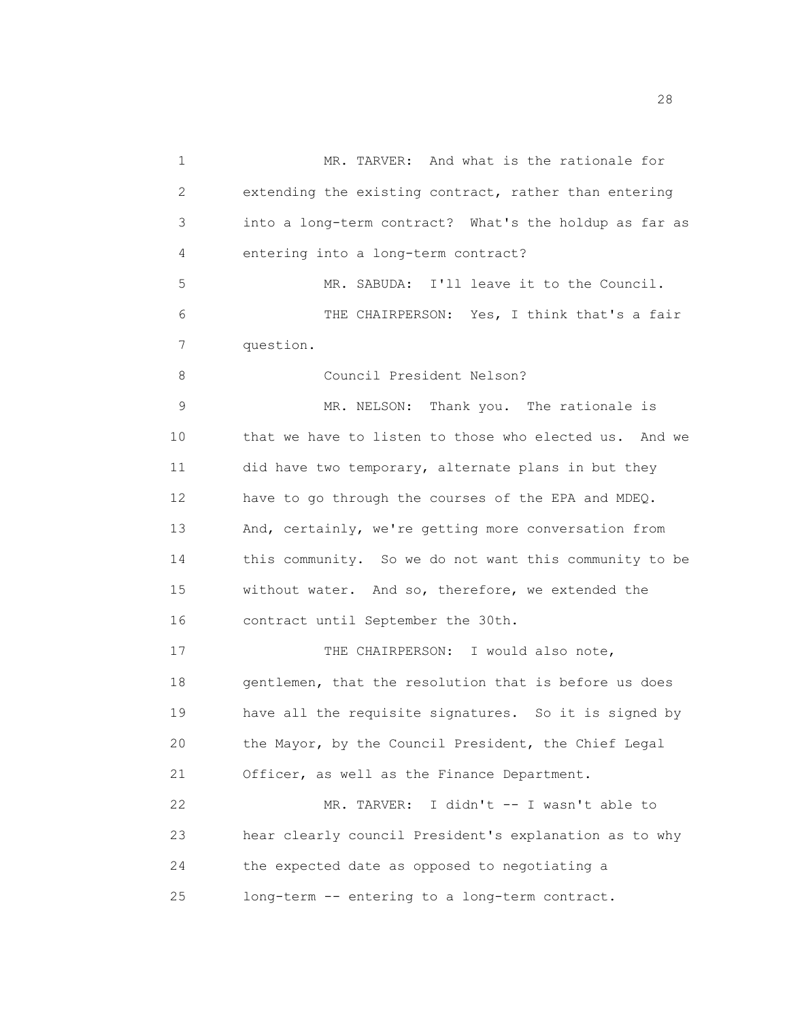1 MR. TARVER: And what is the rationale for 2 extending the existing contract, rather than entering 3 into a long-term contract? What's the holdup as far as 4 entering into a long-term contract? 5 6 7 question. 8 9 MR. SABUDA: I'll leave it to the Council. THE CHAIRPERSON: Yes, I think that's a fair Council President Nelson? MR. NELSON: Thank you. The rationale is 10 that we have to listen to those who elected us. And we 11 did have two temporary, alternate plans in but they 12 have to go through the courses of the EPA and MDEQ. 13 And, certainly, we're getting more conversation from 14 this community. So we do not want this community to be 15 without water. And so, therefore, we extended the 16 contract until September the 30th. 17 THE CHAIRPERSON: I would also note, 18 gentlemen, that the resolution that is before us does 19 have all the requisite signatures. So it is signed by 20 the Mayor, by the Council President, the Chief Legal 21 Officer, as well as the Finance Department. 22 MR. TARVER: I didn't -- I wasn't able to 23 hear clearly council President's explanation as to why 24 the expected date as opposed to negotiating a 25 long-term -- entering to a long-term contract.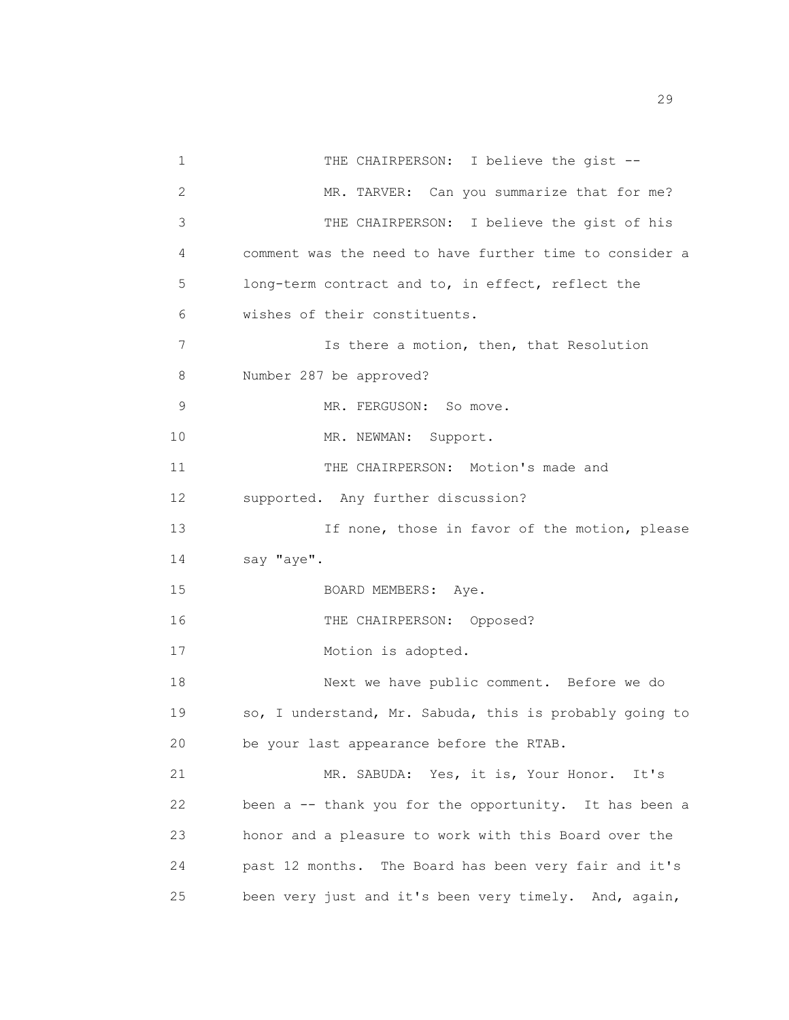1 THE CHAIRPERSON: I believe the gist --2 MR. TARVER: Can you summarize that for me? 3 THE CHAIRPERSON: I believe the gist of his 4 comment was the need to have further time to consider a 5 long-term contract and to, in effect, reflect the 6 wishes of their constituents. 7 Is there a motion, then, that Resolution 8 Number 287 be approved? 9 MR. FERGUSON: So move. 10 MR. NEWMAN: Support. 11 THE CHAIRPERSON: Motion's made and 12 supported. Any further discussion? 13 13 If none, those in favor of the motion, please 14 say "aye". 15 BOARD MEMBERS: Aye. 16 THE CHAIRPERSON: Opposed? 17 Motion is adopted. 18 Next we have public comment. Before we do 19 so, I understand, Mr. Sabuda, this is probably going to 20 be your last appearance before the RTAB. 21 MR. SABUDA: Yes, it is, Your Honor. It's 22 been a -- thank you for the opportunity. It has been a 23 honor and a pleasure to work with this Board over the 24 past 12 months. The Board has been very fair and it's 25 been very just and it's been very timely. And, again,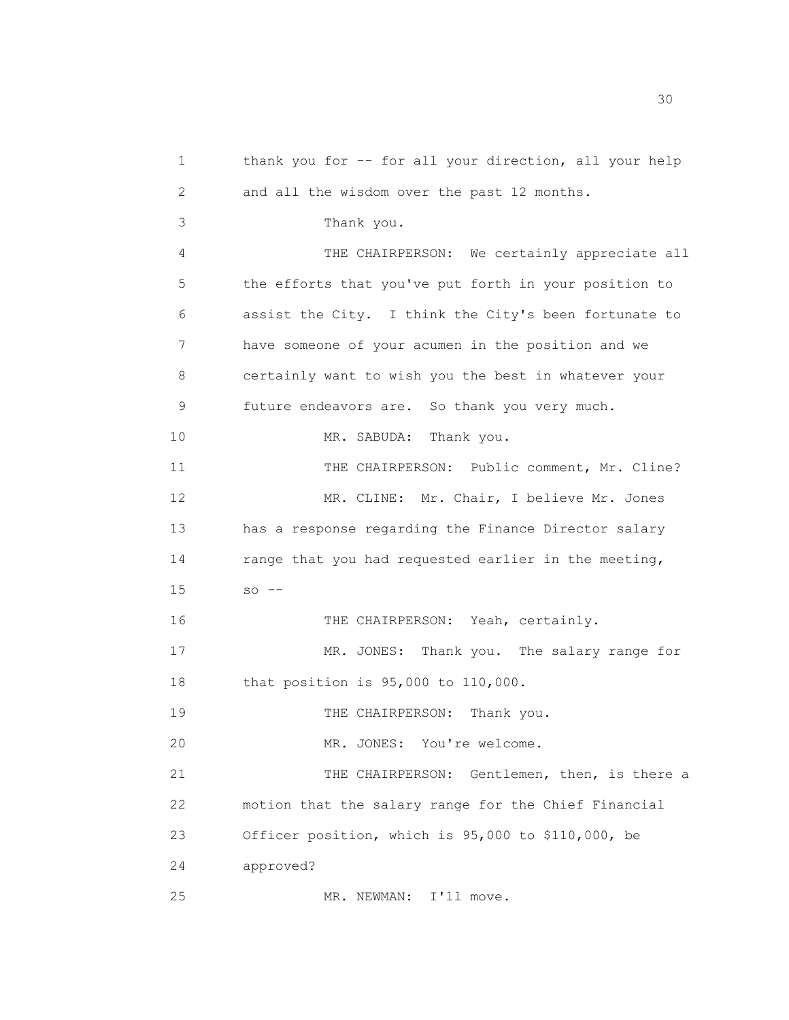1 thank you for -- for all your direction, all your help 2 and all the wisdom over the past 12 months. 3 Thank you. 4 THE CHAIRPERSON: We certainly appreciate all 5 the efforts that you've put forth in your position to 6 assist the City. I think the City's been fortunate to 7 have someone of your acumen in the position and we 8 certainly want to wish you the best in whatever your 9 future endeavors are. So thank you very much. 10 MR. SABUDA: Thank you. 11 THE CHAIRPERSON: Public comment, Mr. Cline? 12 MR. CLINE: Mr. Chair, I believe Mr. Jones 13 has a response regarding the Finance Director salary 14 range that you had requested earlier in the meeting,  $15$  so  $-$ 16 THE CHAIRPERSON: Yeah, certainly. 17 MR. JONES: Thank you. The salary range for 18 that position is 95,000 to 110,000. 19 THE CHAIRPERSON: Thank you. 20 MR. JONES: You're welcome. 21 THE CHAIRPERSON: Gentlemen, then, is there a 22 motion that the salary range for the Chief Financial 23 Officer position, which is 95,000 to \$110,000, be 24 approved? 25 MR. NEWMAN: I'll move.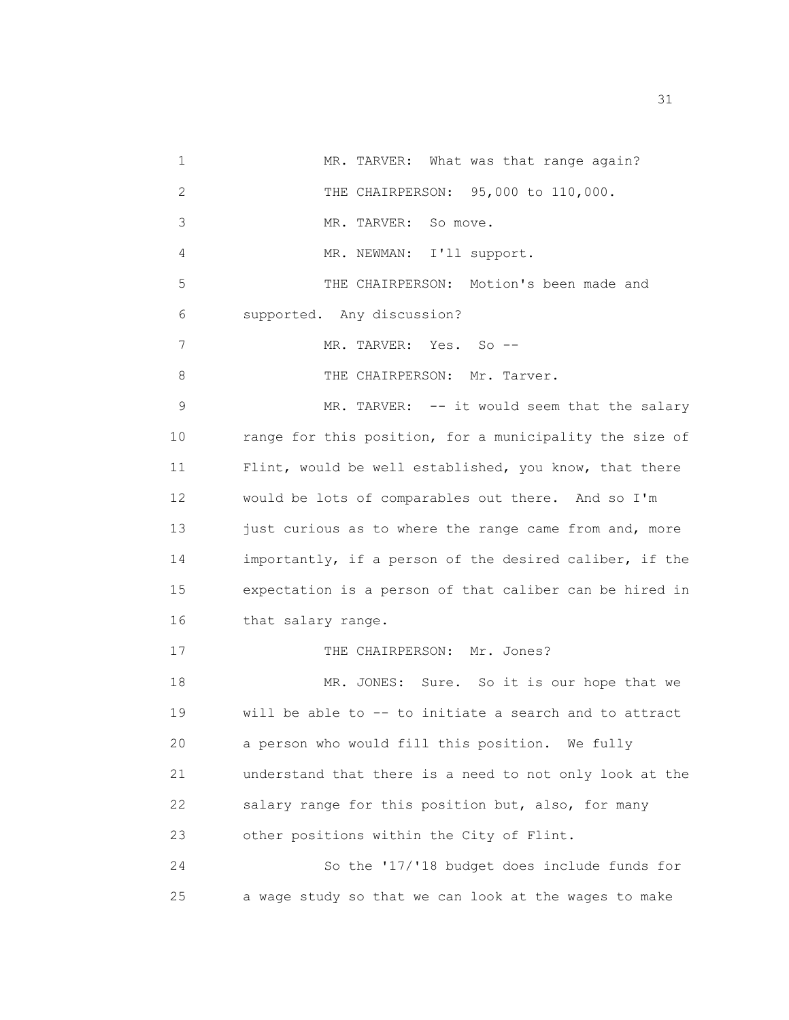1 MR. TARVER: What was that range again? 2 THE CHAIRPERSON: 95,000 to 110,000. 3 MR. TARVER: So move. 4 MR. NEWMAN: I'll support. 5 THE CHAIRPERSON: Motion's been made and 6 supported. Any discussion? 7 MR. TARVER: Yes. So --8 THE CHAIRPERSON: Mr. Tarver. 9 MR. TARVER: -- it would seem that the salary 10 range for this position, for a municipality the size of 11 Flint, would be well established, you know, that there 12 would be lots of comparables out there. And so I'm 13 just curious as to where the range came from and, more 14 importantly, if a person of the desired caliber, if the 15 expectation is a person of that caliber can be hired in 16 that salary range. 17 THE CHAIRPERSON: Mr. Jones? 18 MR. JONES: Sure. So it is our hope that we 19 will be able to -- to initiate a search and to attract 20 a person who would fill this position. We fully 21 understand that there is a need to not only look at the 22 salary range for this position but, also, for many 23 other positions within the City of Flint. 24 So the '17/'18 budget does include funds for 25 a wage study so that we can look at the wages to make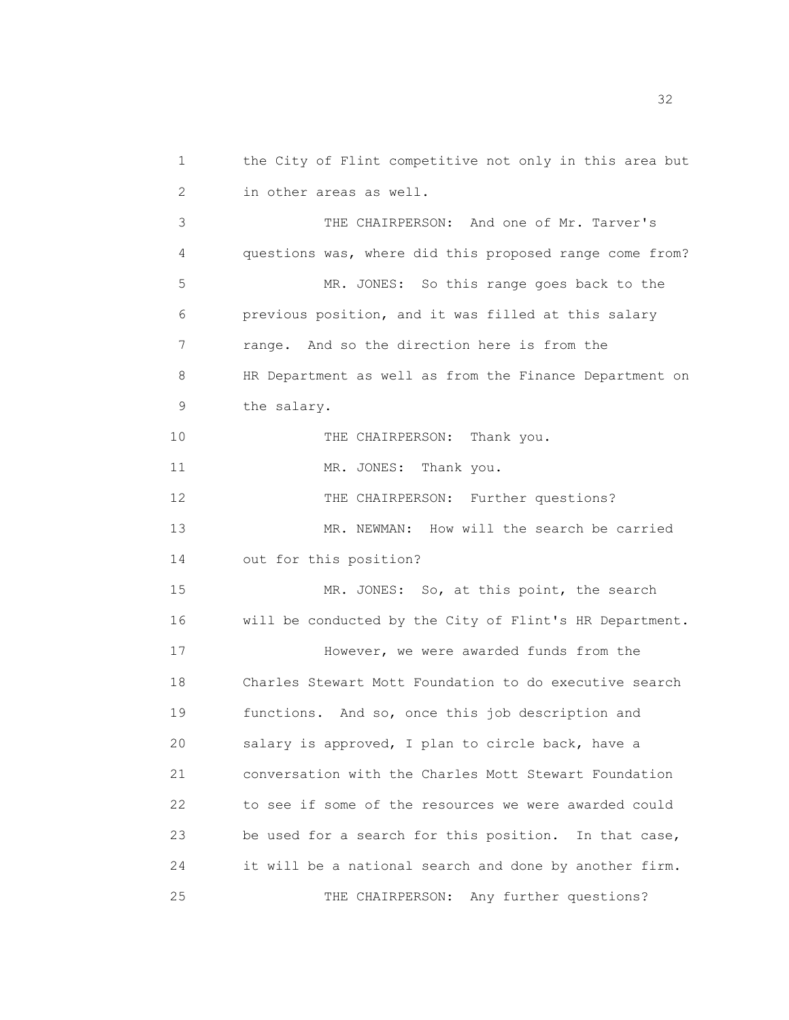1 the City of Flint competitive not only in this area but 2 in other areas as well. 3 THE CHAIRPERSON: And one of Mr. Tarver's 4 questions was, where did this proposed range come from? 5 MR. JONES: So this range goes back to the 6 previous position, and it was filled at this salary 7 range. And so the direction here is from the 8 HR Department as well as from the Finance Department on 9 the salary. 10 THE CHAIRPERSON: Thank you. 11 MR. JONES: Thank you. 12 THE CHAIRPERSON: Further questions? 13 MR. NEWMAN: How will the search be carried 14 out for this position? 15 MR. JONES: So, at this point, the search 16 will be conducted by the City of Flint's HR Department. 17 However, we were awarded funds from the 18 Charles Stewart Mott Foundation to do executive search 19 functions. And so, once this job description and 20 salary is approved, I plan to circle back, have a 21 conversation with the Charles Mott Stewart Foundation 22 to see if some of the resources we were awarded could 23 be used for a search for this position. In that case, 24 it will be a national search and done by another firm. 25 THE CHAIRPERSON: Any further questions?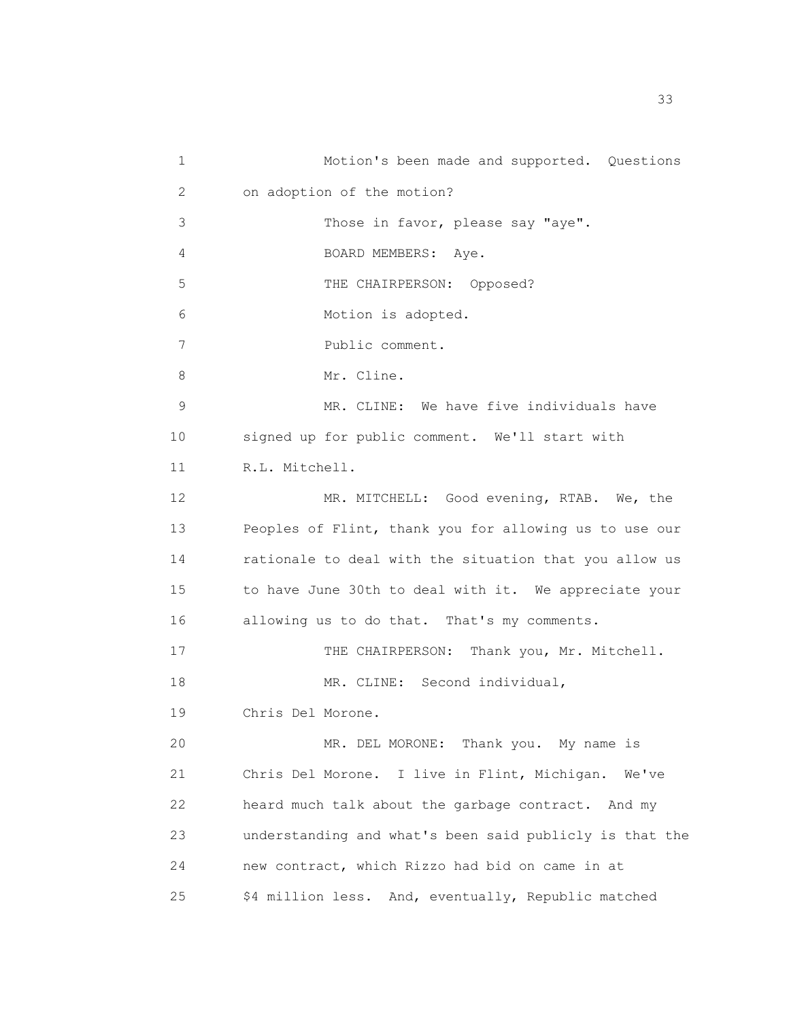1 Motion's been made and supported. Questions 2 on adoption of the motion? 3 Those in favor, please say "aye". 4 BOARD MEMBERS: Aye. 5 THE CHAIRPERSON: Opposed? 6 Motion is adopted. 7 Public comment. 8 Mr. Cline. 9 MR. CLINE: We have five individuals have 10 signed up for public comment. We'll start with 11 R.L. Mitchell. 12 MR. MITCHELL: Good evening, RTAB. We, the 13 Peoples of Flint, thank you for allowing us to use our 14 rationale to deal with the situation that you allow us 15 to have June 30th to deal with it. We appreciate your 16 allowing us to do that. That's my comments. 17 THE CHAIRPERSON: Thank you, Mr. Mitchell. 18 MR. CLINE: Second individual, 19 Chris Del Morone. 20 MR. DEL MORONE: Thank you. My name is 21 Chris Del Morone. I live in Flint, Michigan. We've 22 heard much talk about the garbage contract. And my 23 understanding and what's been said publicly is that the 24 new contract, which Rizzo had bid on came in at 25 \$4 million less. And, eventually, Republic matched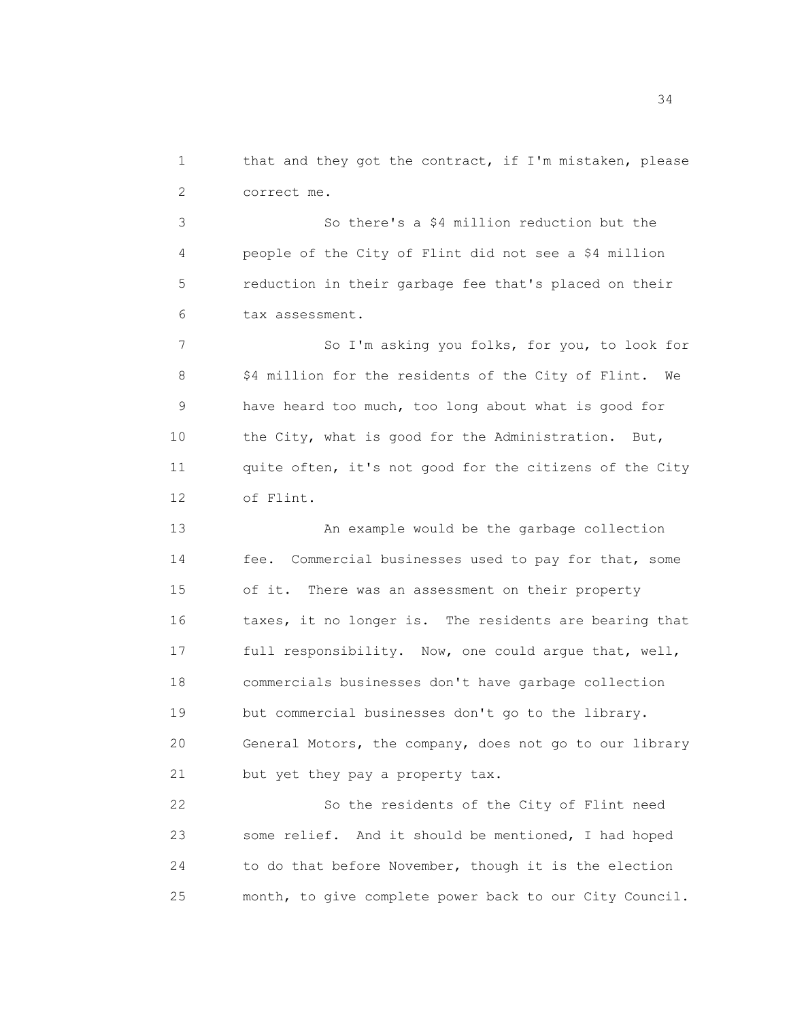1 that and they got the contract, if I'm mistaken, please 2 correct me.

3 So there's a \$4 million reduction but the 4 people of the City of Flint did not see a \$4 million 5 reduction in their garbage fee that's placed on their 6 tax assessment.

7 So I'm asking you folks, for you, to look for 8 \$4 million for the residents of the City of Flint. We 9 have heard too much, too long about what is good for 10 the City, what is good for the Administration. But, 11 quite often, it's not good for the citizens of the City 12 of Flint.

13 An example would be the garbage collection 14 fee. Commercial businesses used to pay for that, some 15 of it. There was an assessment on their property 16 taxes, it no longer is. The residents are bearing that 17 full responsibility. Now, one could argue that, well, 18 commercials businesses don't have garbage collection 19 but commercial businesses don't go to the library. 20 General Motors, the company, does not go to our library 21 but yet they pay a property tax.

22 So the residents of the City of Flint need 23 some relief. And it should be mentioned, I had hoped 24 to do that before November, though it is the election 25 month, to give complete power back to our City Council.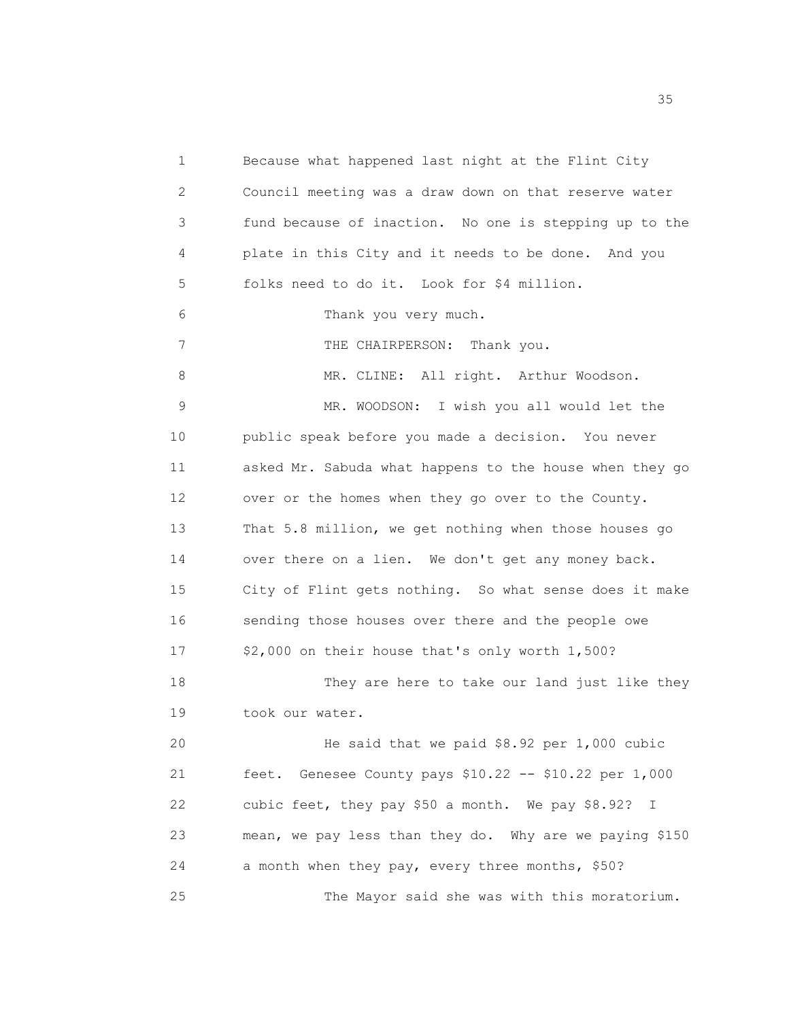1 Because what happened last night at the Flint City 2 Council meeting was a draw down on that reserve water 3 fund because of inaction. No one is stepping up to the 4 plate in this City and it needs to be done. And you 5 folks need to do it. Look for \$4 million. 6 Thank you very much. 7 THE CHAIRPERSON: Thank you. 8 MR. CLINE: All right. Arthur Woodson. 9 MR. WOODSON: I wish you all would let the 10 public speak before you made a decision. You never 11 asked Mr. Sabuda what happens to the house when they go 12 over or the homes when they go over to the County. 13 That 5.8 million, we get nothing when those houses go 14 over there on a lien. We don't get any money back. 15 City of Flint gets nothing. So what sense does it make 16 sending those houses over there and the people owe 17 \$2,000 on their house that's only worth 1,500? 18 They are here to take our land just like they 19 took our water. 20 He said that we paid \$8.92 per 1,000 cubic 21 feet. Genesee County pays \$10.22 -- \$10.22 per 1,000 22 cubic feet, they pay \$50 a month. We pay \$8.92? I 23 mean, we pay less than they do. Why are we paying \$150 24 a month when they pay, every three months, \$50? 25 The Mayor said she was with this moratorium.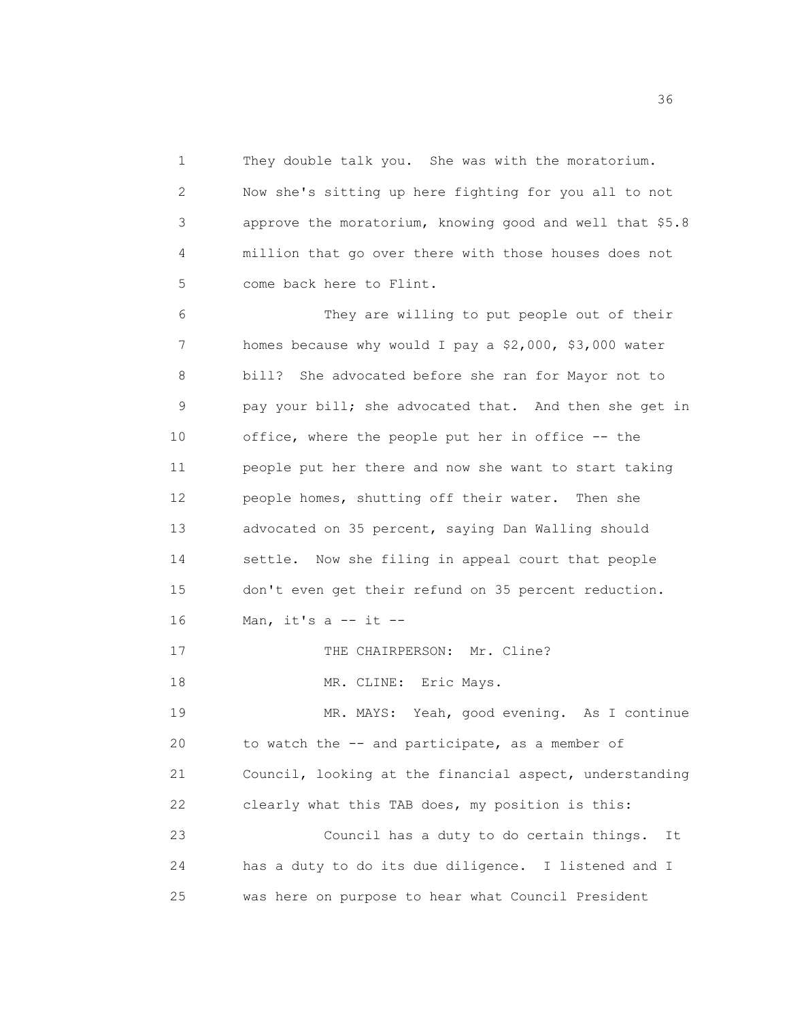1 They double talk you. She was with the moratorium. 2 Now she's sitting up here fighting for you all to not 3 approve the moratorium, knowing good and well that \$5.8 4 million that go over there with those houses does not 5 come back here to Flint.

6 They are willing to put people out of their 7 homes because why would I pay a \$2,000, \$3,000 water 8 bill? She advocated before she ran for Mayor not to 9 pay your bill; she advocated that. And then she get in 10 office, where the people put her in office -- the 11 people put her there and now she want to start taking 12 people homes, shutting off their water. Then she 13 advocated on 35 percent, saying Dan Walling should 14 settle. Now she filing in appeal court that people 15 don't even get their refund on 35 percent reduction. 16 Man, it's a  $--$  it  $--$ 17 THE CHAIRPERSON: Mr. Cline? 18 MR. CLINE: Eric Mays. 19 MR. MAYS: Yeah, good evening. As I continue 20 to watch the -- and participate, as a member of 21 Council, looking at the financial aspect, understanding 22 clearly what this TAB does, my position is this: 23 Council has a duty to do certain things. It

24 has a duty to do its due diligence. I listened and I 25 was here on purpose to hear what Council President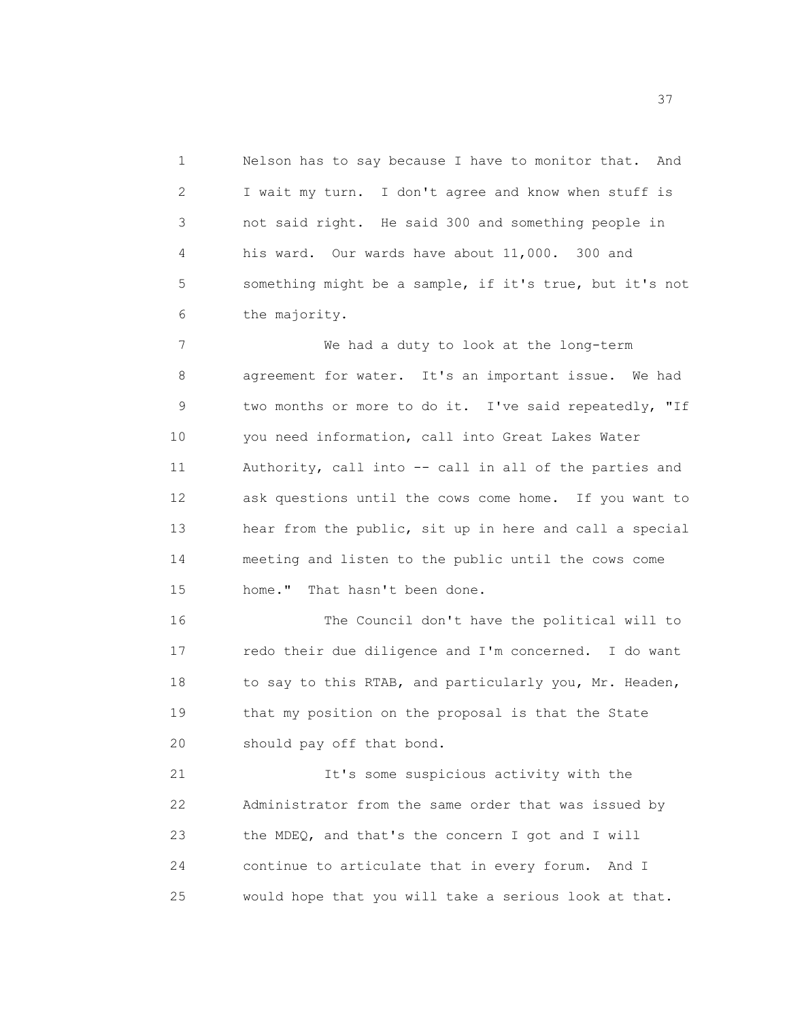1 Nelson has to say because I have to monitor that. And 2 I wait my turn. I don't agree and know when stuff is 3 not said right. He said 300 and something people in 4 his ward. Our wards have about 11,000. 300 and 5 something might be a sample, if it's true, but it's not 6 the majority.

7 We had a duty to look at the long-term 8 agreement for water. It's an important issue. We had 9 two months or more to do it. I've said repeatedly, "If 10 you need information, call into Great Lakes Water 11 Authority, call into -- call in all of the parties and 12 ask questions until the cows come home. If you want to 13 hear from the public, sit up in here and call a special 14 meeting and listen to the public until the cows come 15 home." That hasn't been done.

16 The Council don't have the political will to 17 redo their due diligence and I'm concerned. I do want 18 to say to this RTAB, and particularly you, Mr. Headen, 19 that my position on the proposal is that the State 20 should pay off that bond.

21 It's some suspicious activity with the 22 Administrator from the same order that was issued by 23 the MDEQ, and that's the concern I got and I will 24 continue to articulate that in every forum. And I 25 would hope that you will take a serious look at that.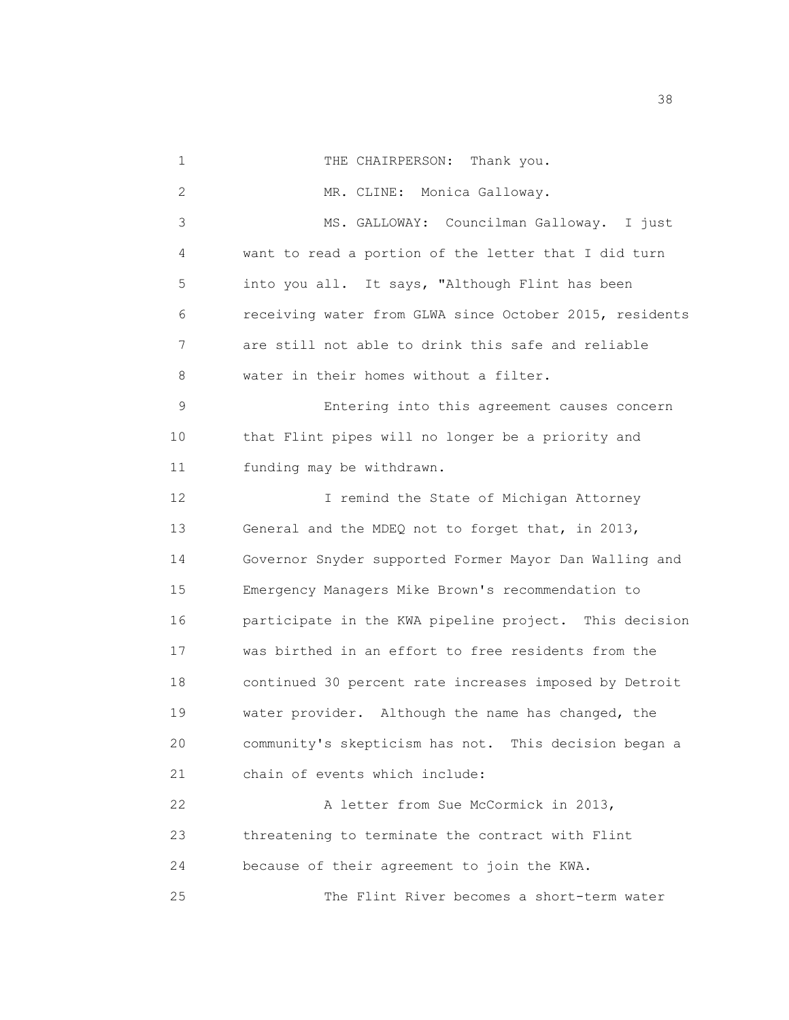1 THE CHAIRPERSON: Thank you. 2 MR. CLINE: Monica Galloway. 3 MS. GALLOWAY: Councilman Galloway. I just 4 want to read a portion of the letter that I did turn 5 into you all. It says, "Although Flint has been 6 receiving water from GLWA since October 2015, residents 7 are still not able to drink this safe and reliable 8 water in their homes without a filter. 9 Entering into this agreement causes concern 10 that Flint pipes will no longer be a priority and 11 funding may be withdrawn. 12 I remind the State of Michigan Attorney 13 General and the MDEQ not to forget that, in 2013, 14 Governor Snyder supported Former Mayor Dan Walling and 15 Emergency Managers Mike Brown's recommendation to 16 participate in the KWA pipeline project. This decision 17 was birthed in an effort to free residents from the 18 continued 30 percent rate increases imposed by Detroit 19 water provider. Although the name has changed, the 20 community's skepticism has not. This decision began a 21 chain of events which include: 22 A letter from Sue McCormick in 2013, 23 threatening to terminate the contract with Flint 24 because of their agreement to join the KWA. 25 The Flint River becomes a short-term water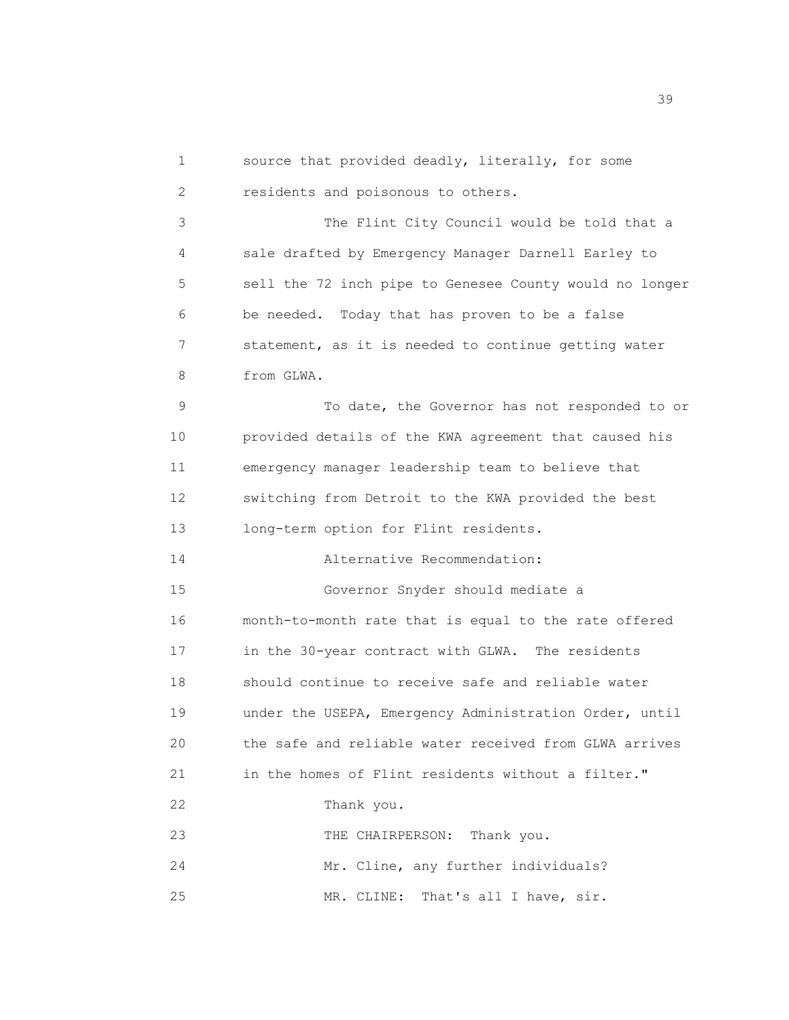1 source that provided deadly, literally, for some 2 residents and poisonous to others. 3 The Flint City Council would be told that a 4 sale drafted by Emergency Manager Darnell Earley to 5 sell the 72 inch pipe to Genesee County would no longer 6 be needed. Today that has proven to be a false 7 statement, as it is needed to continue getting water 8 from GLWA. 9 To date, the Governor has not responded to or 10 provided details of the KWA agreement that caused his 11 emergency manager leadership team to believe that 12 switching from Detroit to the KWA provided the best 13 long-term option for Flint residents. 14 Alternative Recommendation: 15 Governor Snyder should mediate a 16 month-to-month rate that is equal to the rate offered 17 in the 30-year contract with GLWA. The residents 18 should continue to receive safe and reliable water 19 under the USEPA, Emergency Administration Order, until 20 the safe and reliable water received from GLWA arrives 21 in the homes of Flint residents without a filter." 22 Thank you. 23 THE CHAIRPERSON: Thank you. 24 Mr. Cline, any further individuals? 25 MR. CLINE: That's all I have, sir.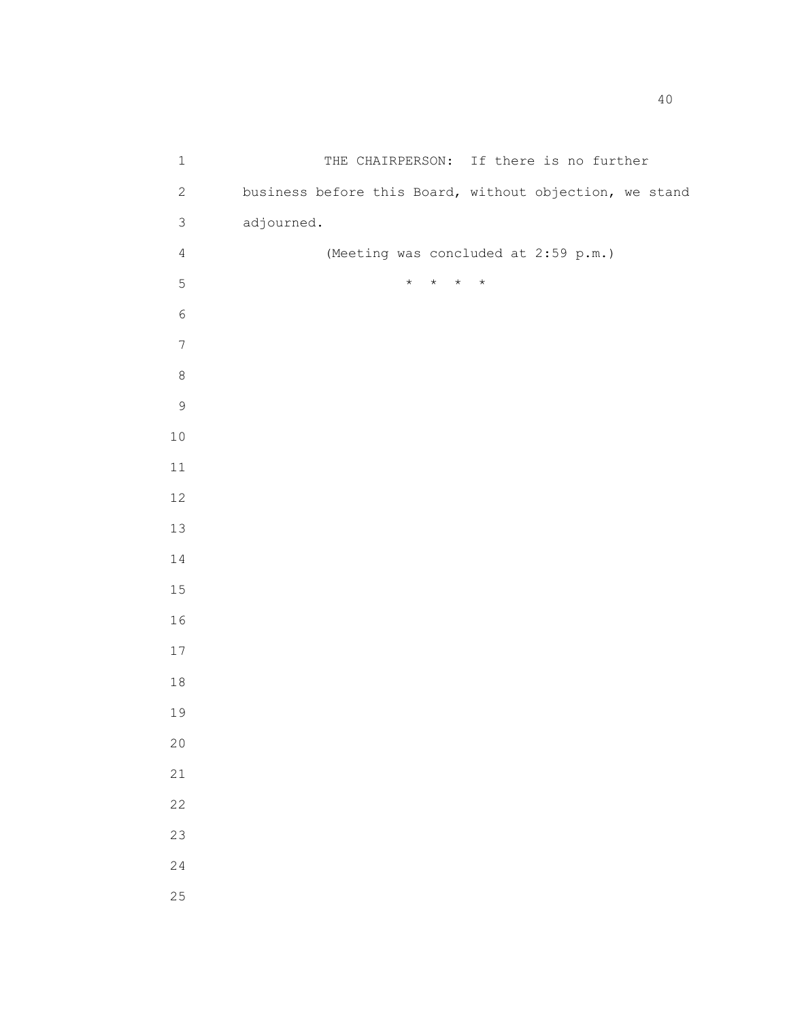| $\mathbf 1$    | THE CHAIRPERSON: If there is no further                 |
|----------------|---------------------------------------------------------|
| $\sqrt{2}$     | business before this Board, without objection, we stand |
| $\mathsf S$    | adjourned.                                              |
| $\overline{4}$ | (Meeting was concluded at 2:59 p.m.)                    |
| $\mathsf S$    | $\star$<br>$\star$<br>$\star$<br>$\star$                |
| $\epsilon$     |                                                         |
| $\overline{7}$ |                                                         |
| $\,8\,$        |                                                         |
| $\mathsf 9$    |                                                         |
| $1\,0$         |                                                         |
| $11\,$         |                                                         |
| 12             |                                                         |
| 13             |                                                         |
| $1\,4$         |                                                         |
| $15$           |                                                         |
| 16             |                                                         |
| $17$           |                                                         |
| $1\,8$         |                                                         |
| 19             |                                                         |
| 20             |                                                         |
| 21             |                                                         |
| 22             |                                                         |
| 23             |                                                         |
| 24             |                                                         |
| 25             |                                                         |